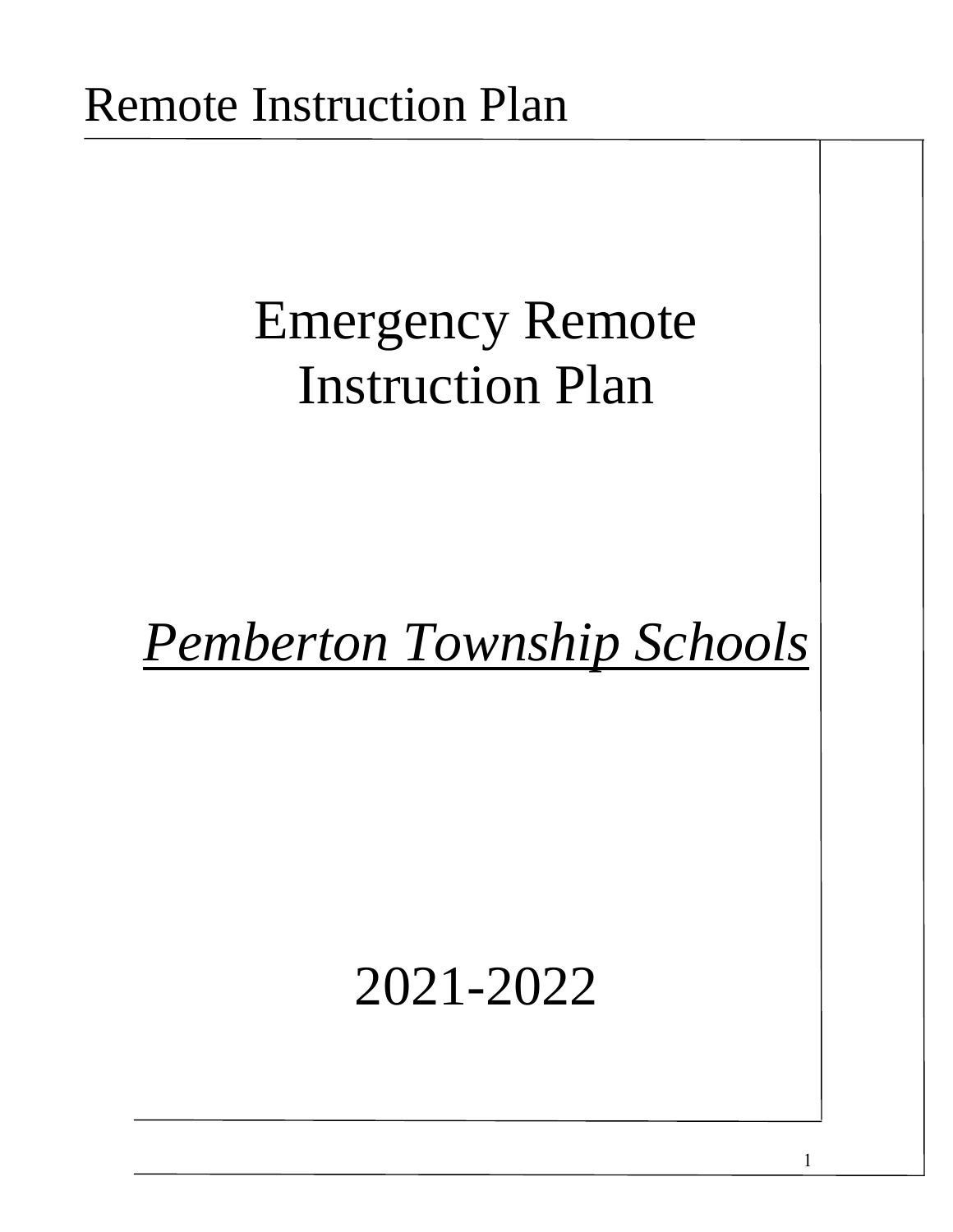# Emergency Remote Instruction Plan

# *Pemberton Township Schools*

# 2021-2022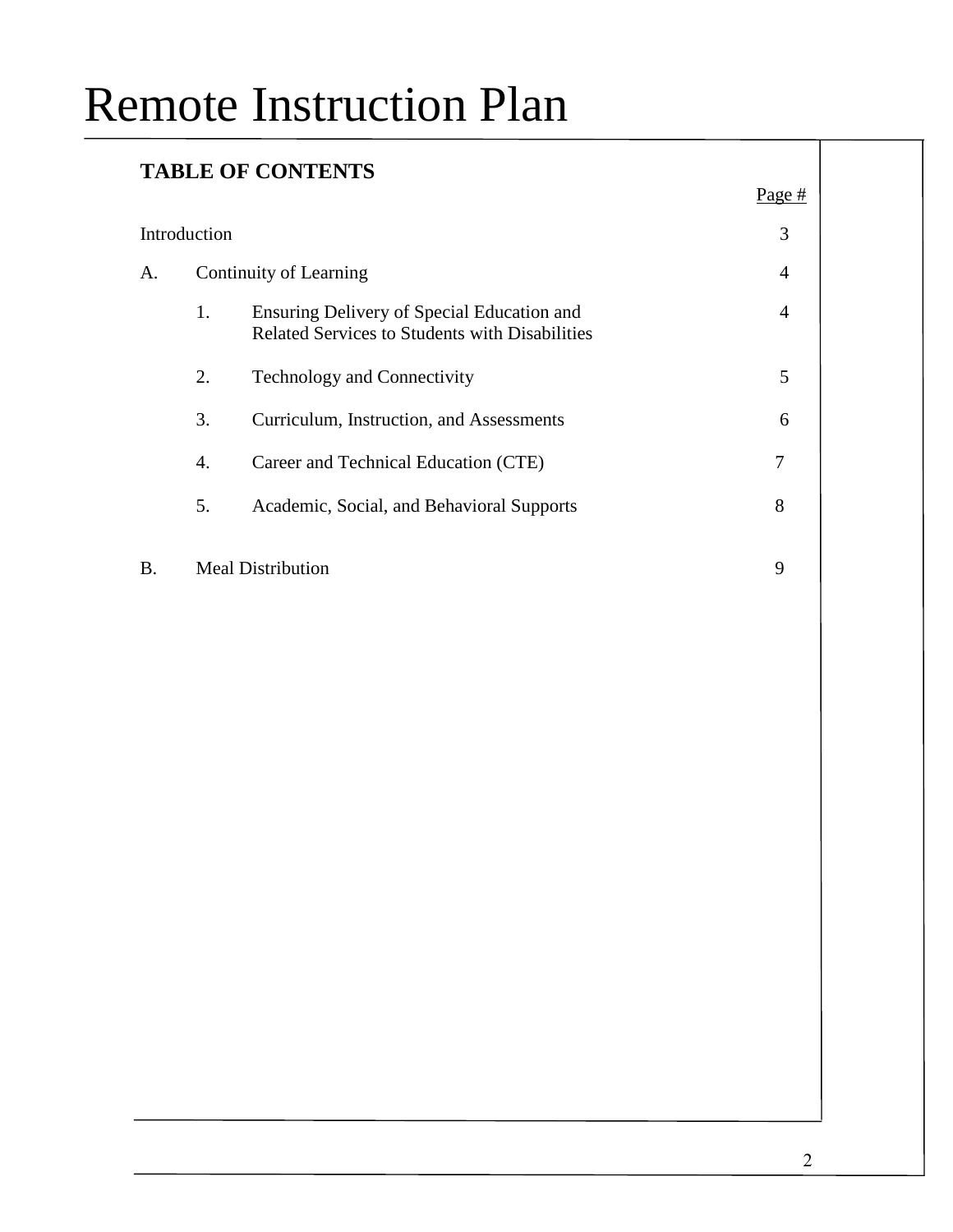### **TABLE OF CONTENTS**

|--|

|    | 3<br>Introduction      |                                                                                              |   |  |  |
|----|------------------------|----------------------------------------------------------------------------------------------|---|--|--|
| А. | Continuity of Learning |                                                                                              |   |  |  |
|    | 1.                     | Ensuring Delivery of Special Education and<br>Related Services to Students with Disabilities | 4 |  |  |
|    | 2.                     | <b>Technology and Connectivity</b>                                                           | 5 |  |  |
|    | 3.                     | Curriculum, Instruction, and Assessments                                                     | 6 |  |  |
|    | 4.                     | Career and Technical Education (CTE)                                                         | 7 |  |  |
|    | 5.                     | Academic, Social, and Behavioral Supports                                                    | 8 |  |  |
|    |                        |                                                                                              |   |  |  |

B. Meal Distribution 9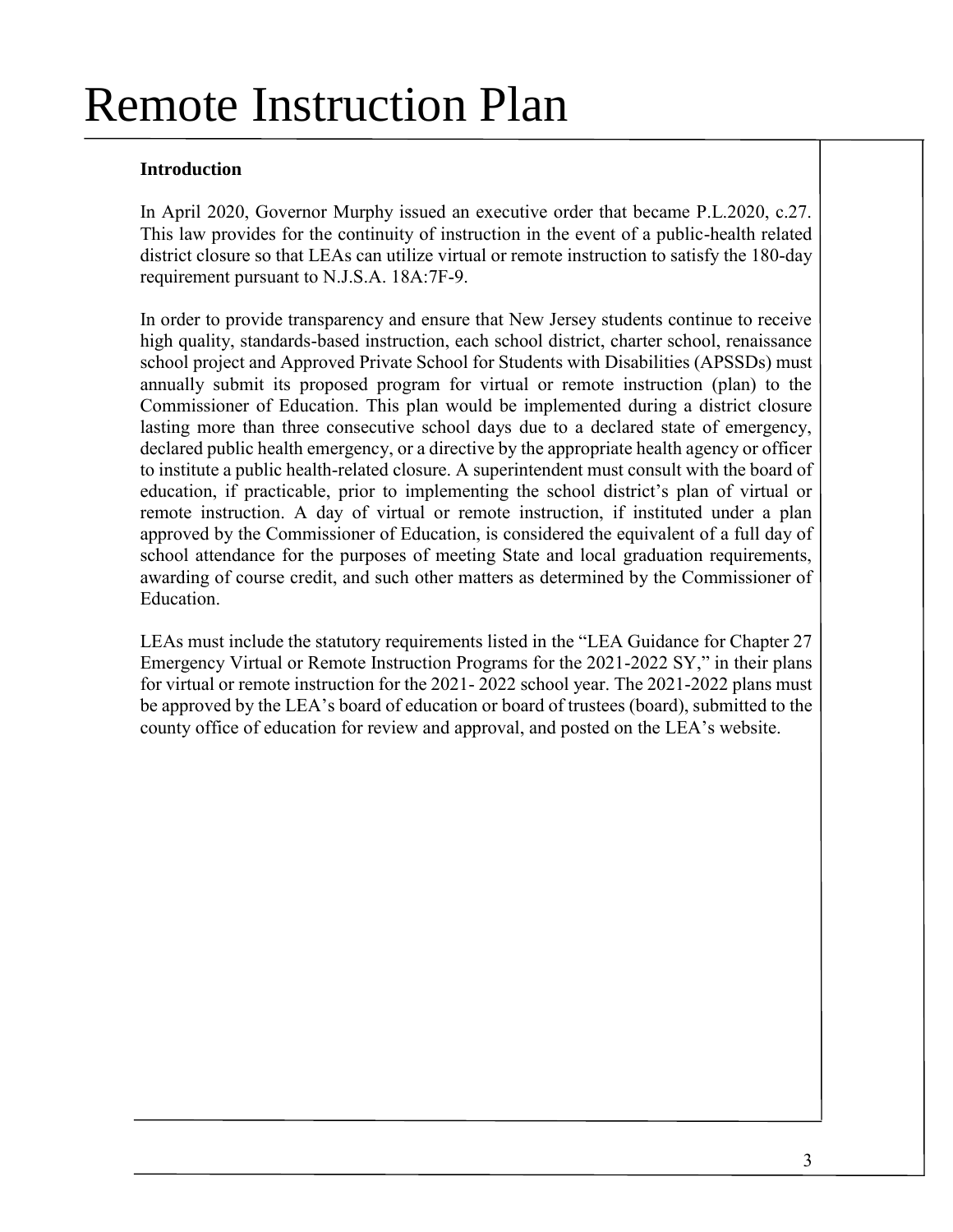### **Introduction**

In April 2020, Governor Murphy issued an executive order that became P.L.2020, c.27. This law provides for the continuity of instruction in the event of a public-health related district closure so that LEAs can utilize virtual or remote instruction to satisfy the 180-day requirement pursuant to N.J.S.A. 18A:7F-9.

In order to provide transparency and ensure that New Jersey students continue to receive high quality, standards-based instruction, each school district, charter school, renaissance school project and Approved Private School for Students with Disabilities (APSSDs) must annually submit its proposed program for virtual or remote instruction (plan) to the Commissioner of Education. This plan would be implemented during a district closure lasting more than three consecutive school days due to a declared state of emergency, declared public health emergency, or a directive by the appropriate health agency or officer to institute a public health-related closure. A superintendent must consult with the board of education, if practicable, prior to implementing the school district's plan of virtual or remote instruction. A day of virtual or remote instruction, if instituted under a plan approved by the Commissioner of Education, is considered the equivalent of a full day of school attendance for the purposes of meeting State and local graduation requirements, awarding of course credit, and such other matters as determined by the Commissioner of Education.

LEAs must include the statutory requirements listed in the "LEA Guidance for Chapter 27 Emergency Virtual or Remote Instruction Programs for the 2021-2022 SY," in their plans for virtual or remote instruction for the 2021- 2022 school year. The 2021-2022 plans must be approved by the LEA's board of education or board of trustees (board), submitted to the county office of education for review and approval, and posted on the LEA's website.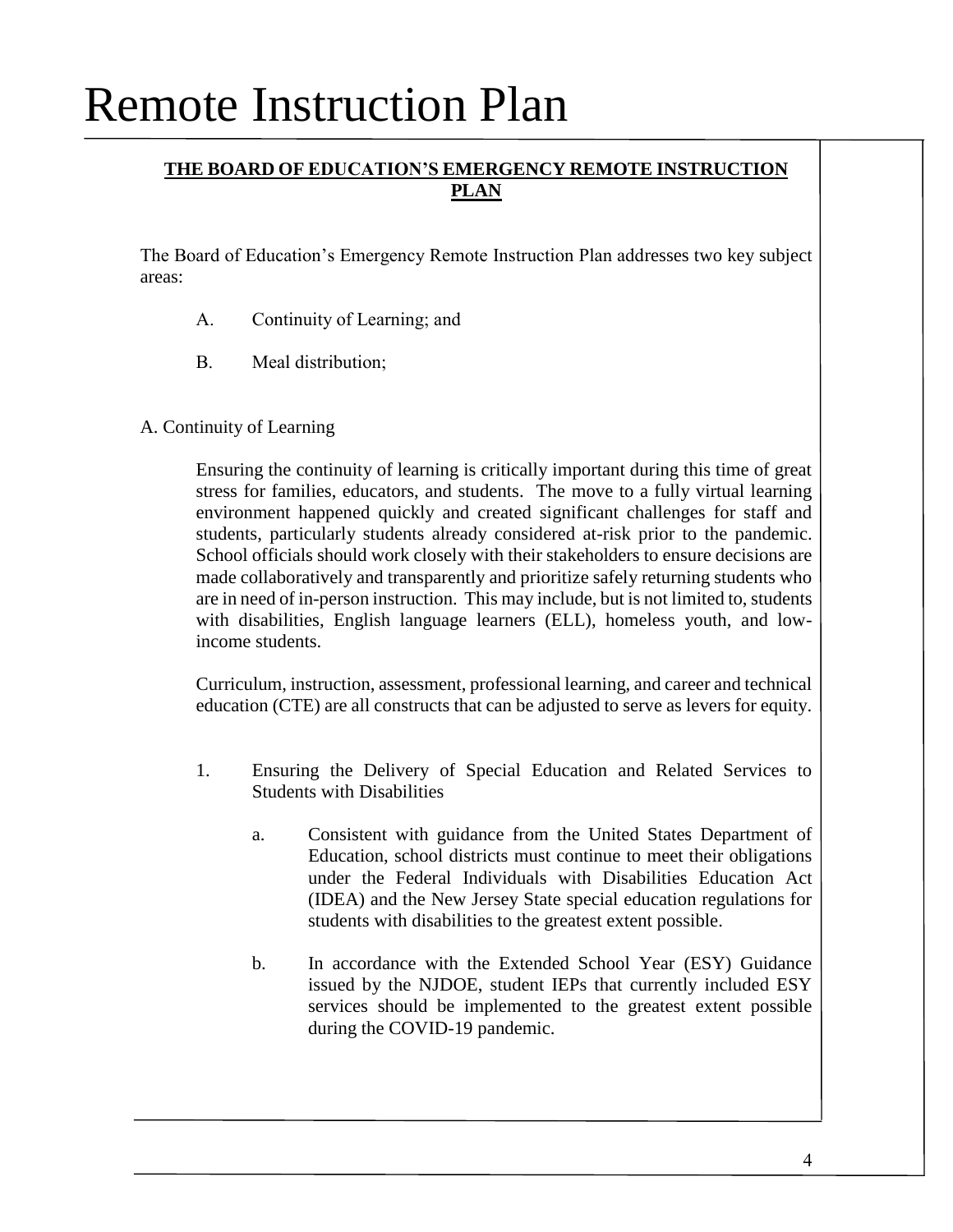### **THE BOARD OF EDUCATION'S EMERGENCY REMOTE INSTRUCTION PLAN**

The Board of Education's Emergency Remote Instruction Plan addresses two key subject areas:

- A. Continuity of Learning; and
- B. Meal distribution;

#### A. Continuity of Learning

Ensuring the continuity of learning is critically important during this time of great stress for families, educators, and students. The move to a fully virtual learning environment happened quickly and created significant challenges for staff and students, particularly students already considered at-risk prior to the pandemic. School officials should work closely with their stakeholders to ensure decisions are made collaboratively and transparently and prioritize safely returning students who are in need of in-person instruction. This may include, but is not limited to, students with disabilities, English language learners (ELL), homeless youth, and lowincome students.

Curriculum, instruction, assessment, professional learning, and career and technical education (CTE) are all constructs that can be adjusted to serve as levers for equity.

- 1. Ensuring the Delivery of Special Education and Related Services to Students with Disabilities
	- a. Consistent with guidance from the United States Department of Education, school districts must continue to meet their obligations under the Federal Individuals with Disabilities Education Act (IDEA) and the New Jersey State special education regulations for students with disabilities to the greatest extent possible.
	- b. In accordance with the Extended School Year (ESY) Guidance issued by the NJDOE, student IEPs that currently included ESY services should be implemented to the greatest extent possible during the COVID-19 pandemic.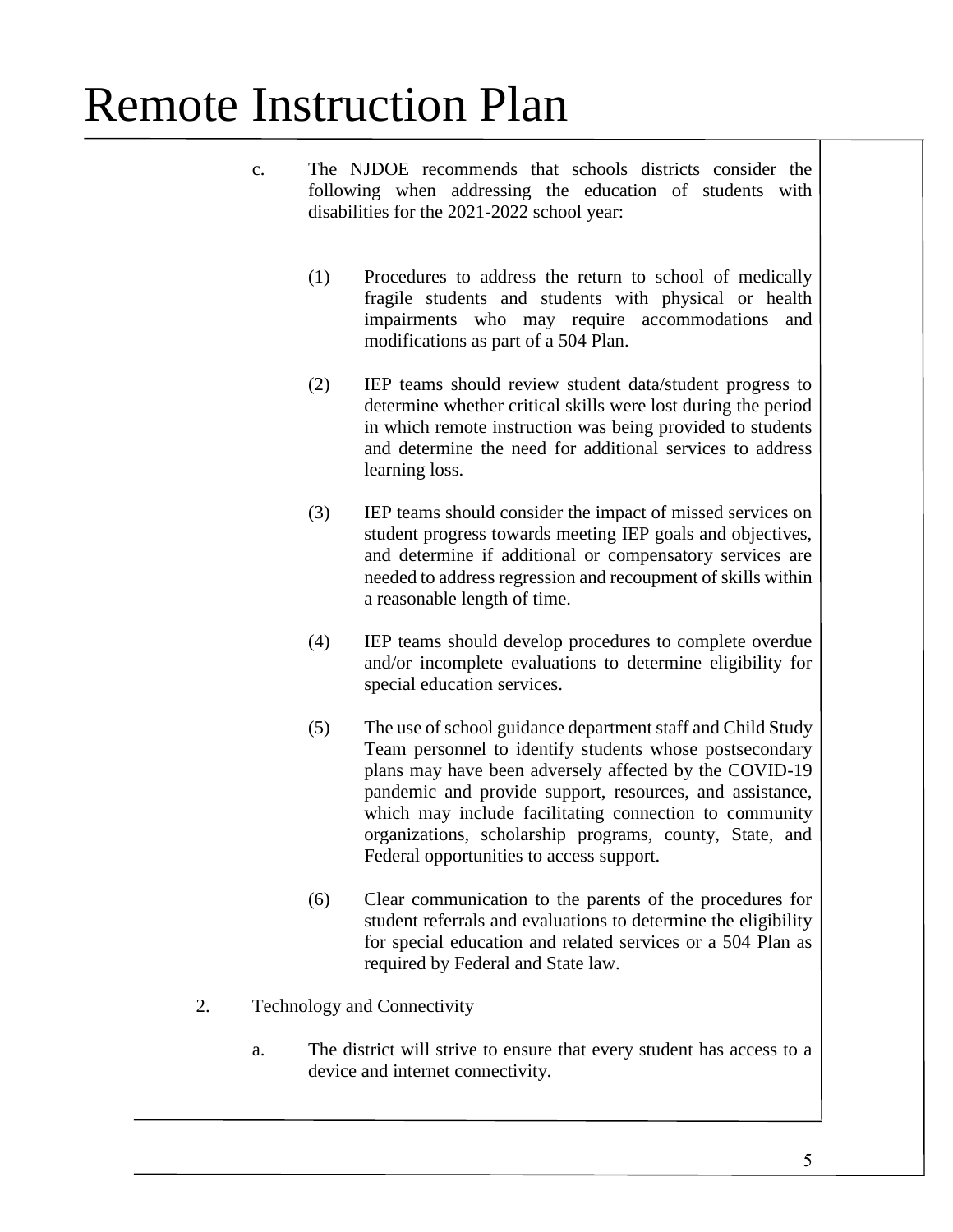- c. The NJDOE recommends that schools districts consider the following when addressing the education of students with disabilities for the 2021-2022 school year:
	- (1) Procedures to address the return to school of medically fragile students and students with physical or health impairments who may require accommodations and modifications as part of a 504 Plan.
	- (2) IEP teams should review student data/student progress to determine whether critical skills were lost during the period in which remote instruction was being provided to students and determine the need for additional services to address learning loss.
	- (3) IEP teams should consider the impact of missed services on student progress towards meeting IEP goals and objectives, and determine if additional or compensatory services are needed to address regression and recoupment of skills within a reasonable length of time.
	- (4) IEP teams should develop procedures to complete overdue and/or incomplete evaluations to determine eligibility for special education services.
	- (5) The use of school guidance department staff and Child Study Team personnel to identify students whose postsecondary plans may have been adversely affected by the COVID-19 pandemic and provide support, resources, and assistance, which may include facilitating connection to community organizations, scholarship programs, county, State, and Federal opportunities to access support.
	- (6) Clear communication to the parents of the procedures for student referrals and evaluations to determine the eligibility for special education and related services or a 504 Plan as required by Federal and State law.
- 2. Technology and Connectivity
	- a. The district will strive to ensure that every student has access to a device and internet connectivity.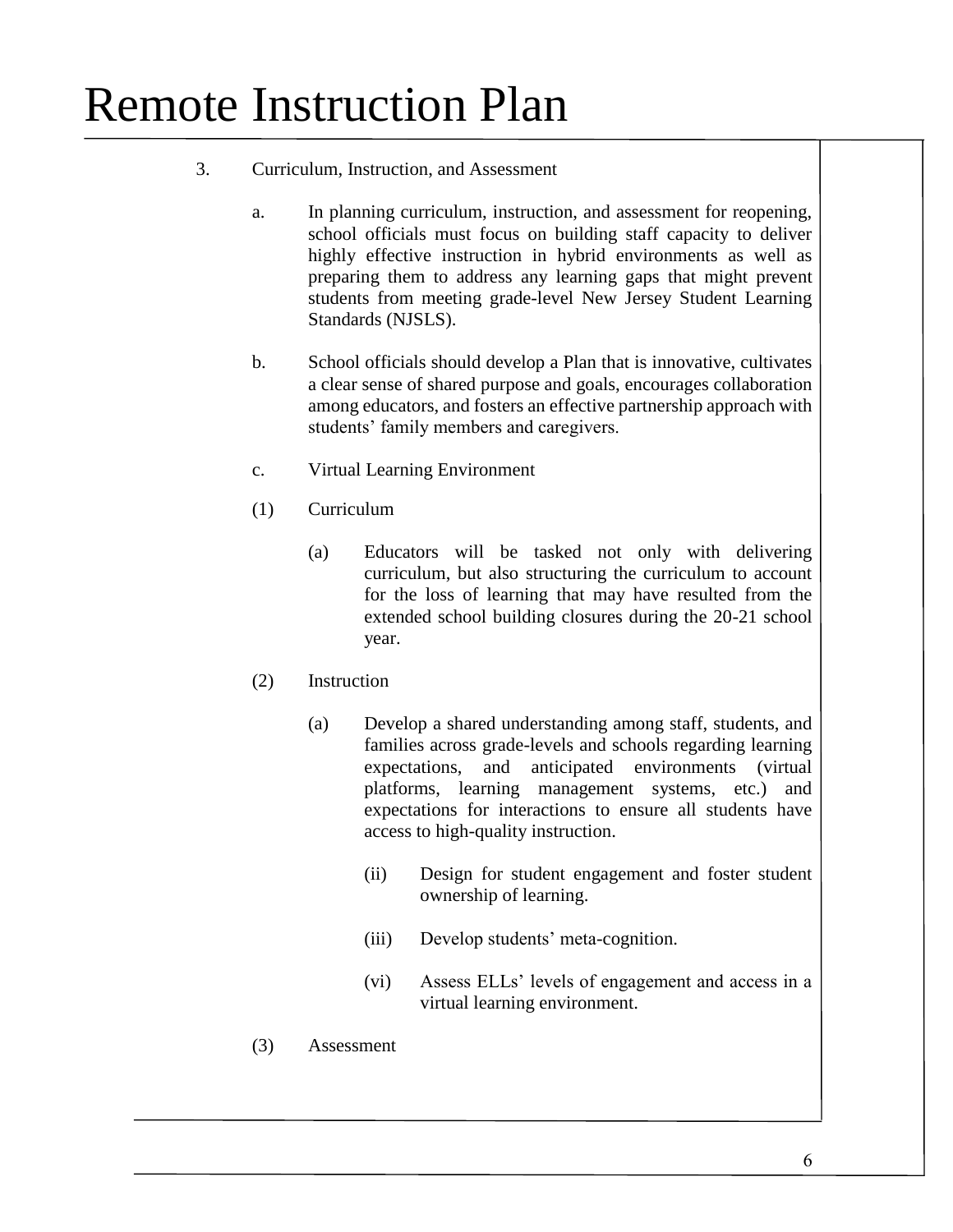- 3. Curriculum, Instruction, and Assessment
	- a. In planning curriculum, instruction, and assessment for reopening, school officials must focus on building staff capacity to deliver highly effective instruction in hybrid environments as well as preparing them to address any learning gaps that might prevent students from meeting grade-level New Jersey Student Learning Standards (NJSLS).
	- b. School officials should develop a Plan that is innovative, cultivates a clear sense of shared purpose and goals, encourages collaboration among educators, and fosters an effective partnership approach with students' family members and caregivers.
	- c. Virtual Learning Environment
	- (1) Curriculum
		- (a) Educators will be tasked not only with delivering curriculum, but also structuring the curriculum to account for the loss of learning that may have resulted from the extended school building closures during the 20-21 school year.
	- (2) Instruction
		- (a) Develop a shared understanding among staff, students, and families across grade-levels and schools regarding learning expectations, and anticipated environments (virtual platforms, learning management systems, etc.) and expectations for interactions to ensure all students have access to high-quality instruction.
			- (ii) Design for student engagement and foster student ownership of learning.
			- (iii) Develop students' meta-cognition.
			- (vi) Assess ELLs' levels of engagement and access in a virtual learning environment.
	- (3) Assessment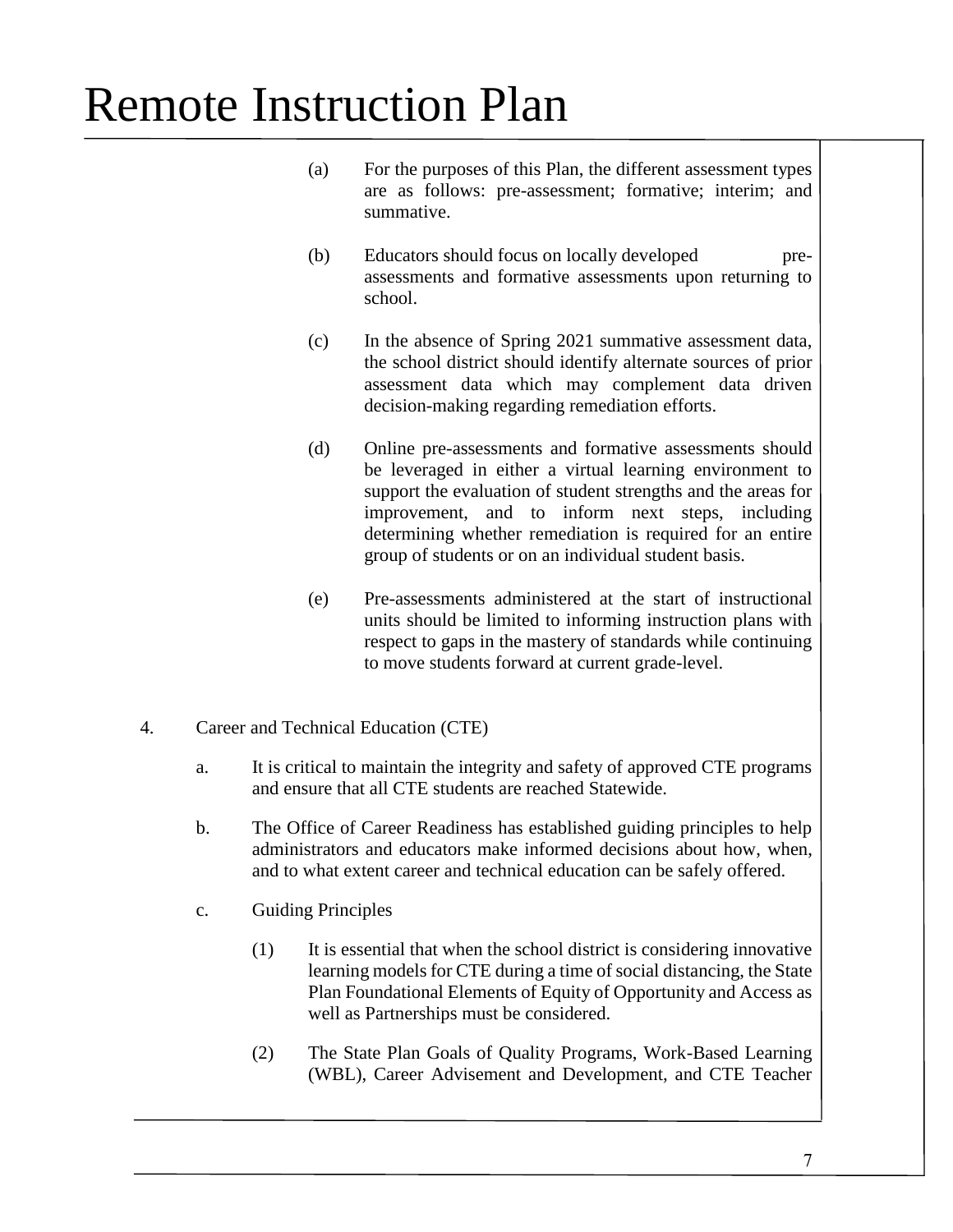- (a) For the purposes of this Plan, the different assessment types are as follows: pre-assessment; formative; interim; and summative.
- (b) Educators should focus on locally developed preassessments and formative assessments upon returning to school.
- (c) In the absence of Spring 2021 summative assessment data, the school district should identify alternate sources of prior assessment data which may complement data driven decision-making regarding remediation efforts.
- (d) Online pre-assessments and formative assessments should be leveraged in either a virtual learning environment to support the evaluation of student strengths and the areas for improvement, and to inform next steps, including determining whether remediation is required for an entire group of students or on an individual student basis.
- (e) Pre-assessments administered at the start of instructional units should be limited to informing instruction plans with respect to gaps in the mastery of standards while continuing to move students forward at current grade-level.
- 4. Career and Technical Education (CTE)
	- a. It is critical to maintain the integrity and safety of approved CTE programs and ensure that all CTE students are reached Statewide.
	- b. The Office of Career Readiness has established guiding principles to help administrators and educators make informed decisions about how, when, and to what extent career and technical education can be safely offered.
	- c. Guiding Principles
		- (1) It is essential that when the school district is considering innovative learning models for CTE during a time of social distancing, the State Plan Foundational Elements of Equity of Opportunity and Access as well as Partnerships must be considered.
		- (2) The State Plan Goals of Quality Programs, Work-Based Learning (WBL), Career Advisement and Development, and CTE Teacher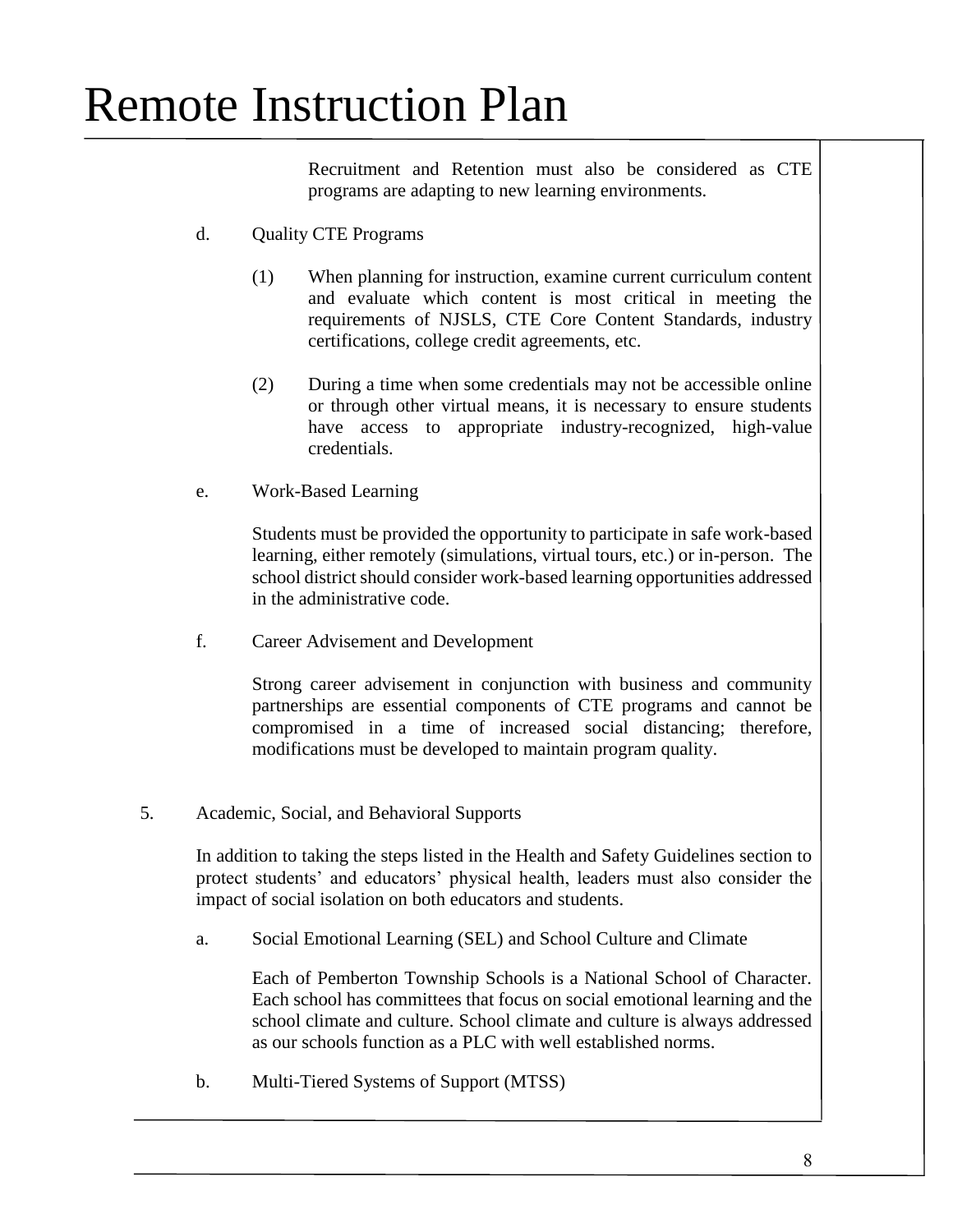Recruitment and Retention must also be considered as CTE programs are adapting to new learning environments.

- d. Quality CTE Programs
	- (1) When planning for instruction, examine current curriculum content and evaluate which content is most critical in meeting the requirements of NJSLS, CTE Core Content Standards, industry certifications, college credit agreements, etc.
	- (2) During a time when some credentials may not be accessible online or through other virtual means, it is necessary to ensure students have access to appropriate industry-recognized, high-value credentials.
- e. Work-Based Learning

Students must be provided the opportunity to participate in safe work-based learning, either remotely (simulations, virtual tours, etc.) or in-person. The school district should consider work-based learning opportunities addressed in the administrative code.

f. Career Advisement and Development

Strong career advisement in conjunction with business and community partnerships are essential components of CTE programs and cannot be compromised in a time of increased social distancing; therefore, modifications must be developed to maintain program quality.

5. Academic, Social, and Behavioral Supports

In addition to taking the steps listed in the Health and Safety Guidelines section to protect students' and educators' physical health, leaders must also consider the impact of social isolation on both educators and students.

a. Social Emotional Learning (SEL) and School Culture and Climate

Each of Pemberton Township Schools is a National School of Character. Each school has committees that focus on social emotional learning and the school climate and culture. School climate and culture is always addressed as our schools function as a PLC with well established norms.

b. Multi-Tiered Systems of Support (MTSS)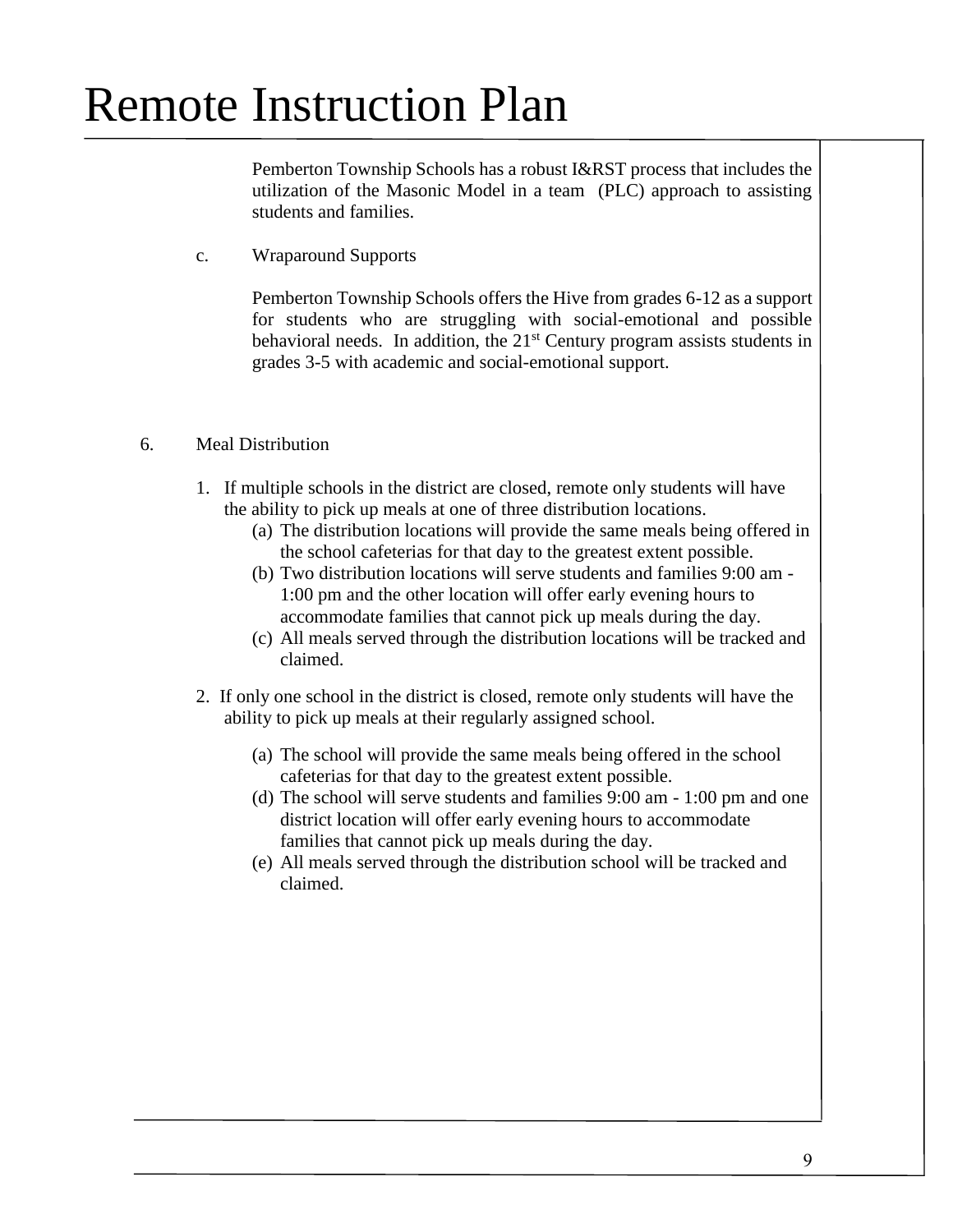Pemberton Township Schools has a robust I&RST process that includes the utilization of the Masonic Model in a team (PLC) approach to assisting students and families.

c. Wraparound Supports

Pemberton Township Schools offers the Hive from grades 6-12 as a support for students who are struggling with social-emotional and possible behavioral needs. In addition, the  $21<sup>st</sup>$  Century program assists students in grades 3-5 with academic and social-emotional support.

#### 6. Meal Distribution

- 1. If multiple schools in the district are closed, remote only students will have the ability to pick up meals at one of three distribution locations.
	- (a) The distribution locations will provide the same meals being offered in the school cafeterias for that day to the greatest extent possible.
	- (b) Two distribution locations will serve students and families 9:00 am 1:00 pm and the other location will offer early evening hours to accommodate families that cannot pick up meals during the day.
	- (c) All meals served through the distribution locations will be tracked and claimed.
- 2. If only one school in the district is closed, remote only students will have the ability to pick up meals at their regularly assigned school.
	- (a) The school will provide the same meals being offered in the school cafeterias for that day to the greatest extent possible.
	- (d) The school will serve students and families 9:00 am 1:00 pm and one district location will offer early evening hours to accommodate families that cannot pick up meals during the day.
	- (e) All meals served through the distribution school will be tracked and claimed.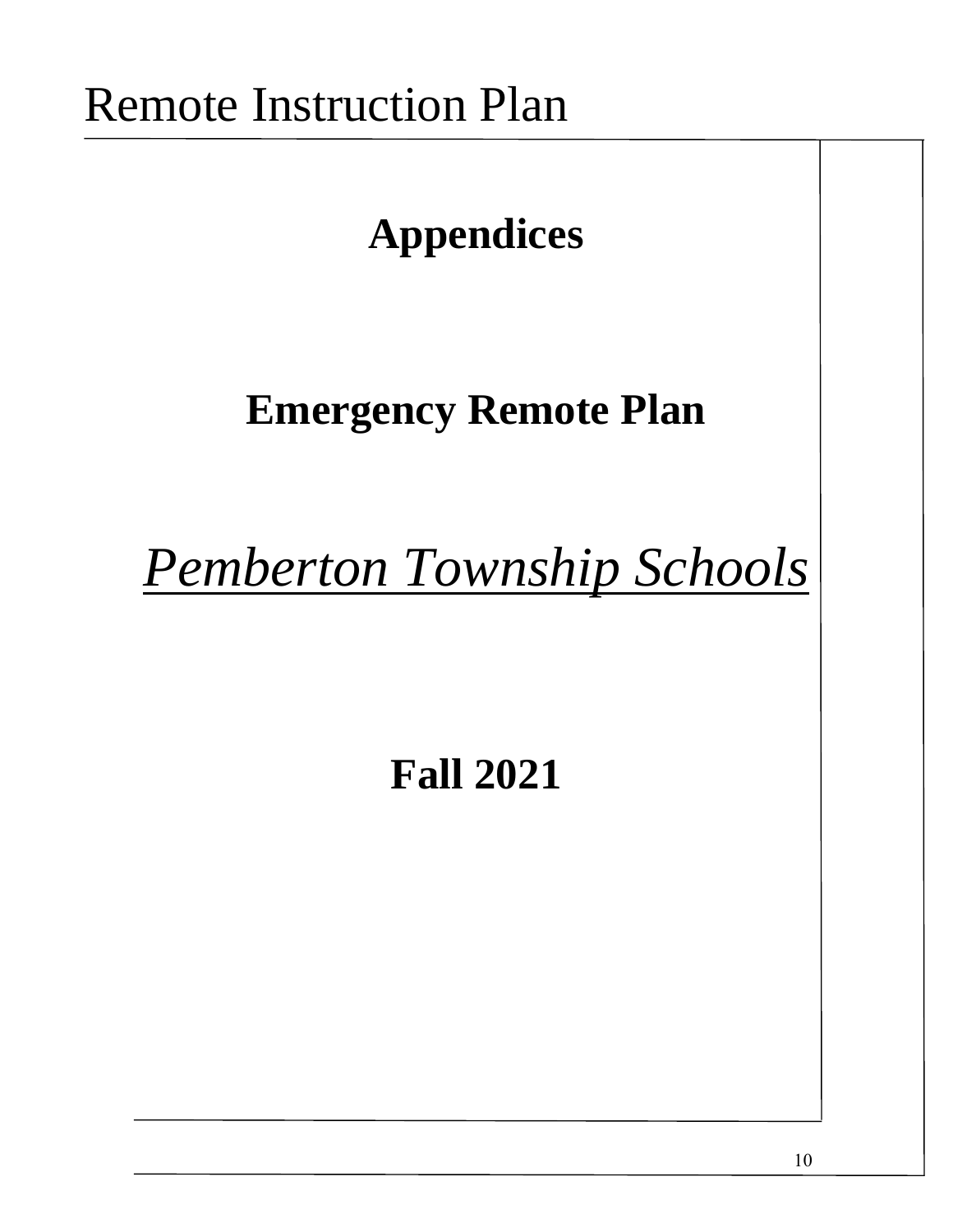# **Appendices**

### **Emergency Remote Plan**

*Pemberton Township Schools*

### **Fall 2021**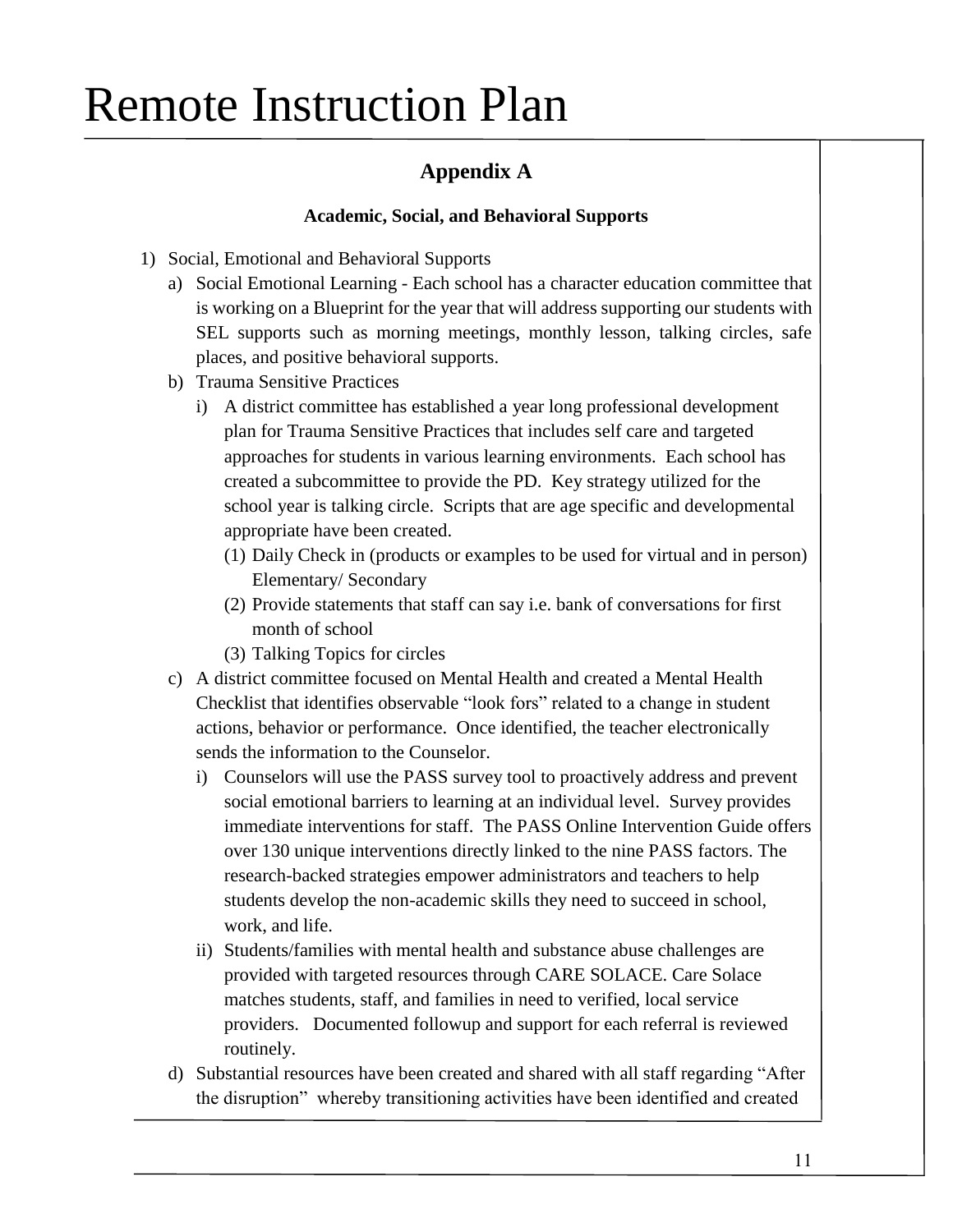### **Appendix A**

### **Academic, Social, and Behavioral Supports**

- 1) Social, Emotional and Behavioral Supports
	- a) Social Emotional Learning Each school has a character education committee that is working on a Blueprint for the year that will address supporting our students with SEL supports such as morning meetings, monthly lesson, talking circles, safe places, and positive behavioral supports.
	- b) Trauma Sensitive Practices
		- i) A district committee has established a year long professional development plan for Trauma Sensitive Practices that includes self care and targeted approaches for students in various learning environments. Each school has created a subcommittee to provide the PD. Key strategy utilized for the school year is talking circle. Scripts that are age specific and developmental appropriate have been created.
			- (1) Daily Check in (products or examples to be used for virtual and in person) Elementary/ Secondary
			- (2) Provide statements that staff can say i.e. bank of conversations for first month of school
			- (3) Talking Topics for circles
	- c) A district committee focused on Mental Health and created a Mental Health Checklist that identifies observable "look fors" related to a change in student actions, behavior or performance. Once identified, the teacher electronically sends the information to the Counselor.
		- i) Counselors will use the PASS survey tool to proactively address and prevent social emotional barriers to learning at an individual level. Survey provides immediate interventions for staff. The PASS Online Intervention Guide offers over 130 unique interventions directly linked to the nine PASS factors. The research-backed strategies empower administrators and teachers to help students develop the non-academic skills they need to succeed in school, work, and life.
		- ii) Students/families with mental health and substance abuse challenges are provided with targeted resources through CARE SOLACE. Care Solace matches students, staff, and families in need to verified, local service providers. Documented followup and support for each referral is reviewed routinely.
	- d) Substantial resources have been created and shared with all staff regarding "After the disruption" whereby transitioning activities have been identified and created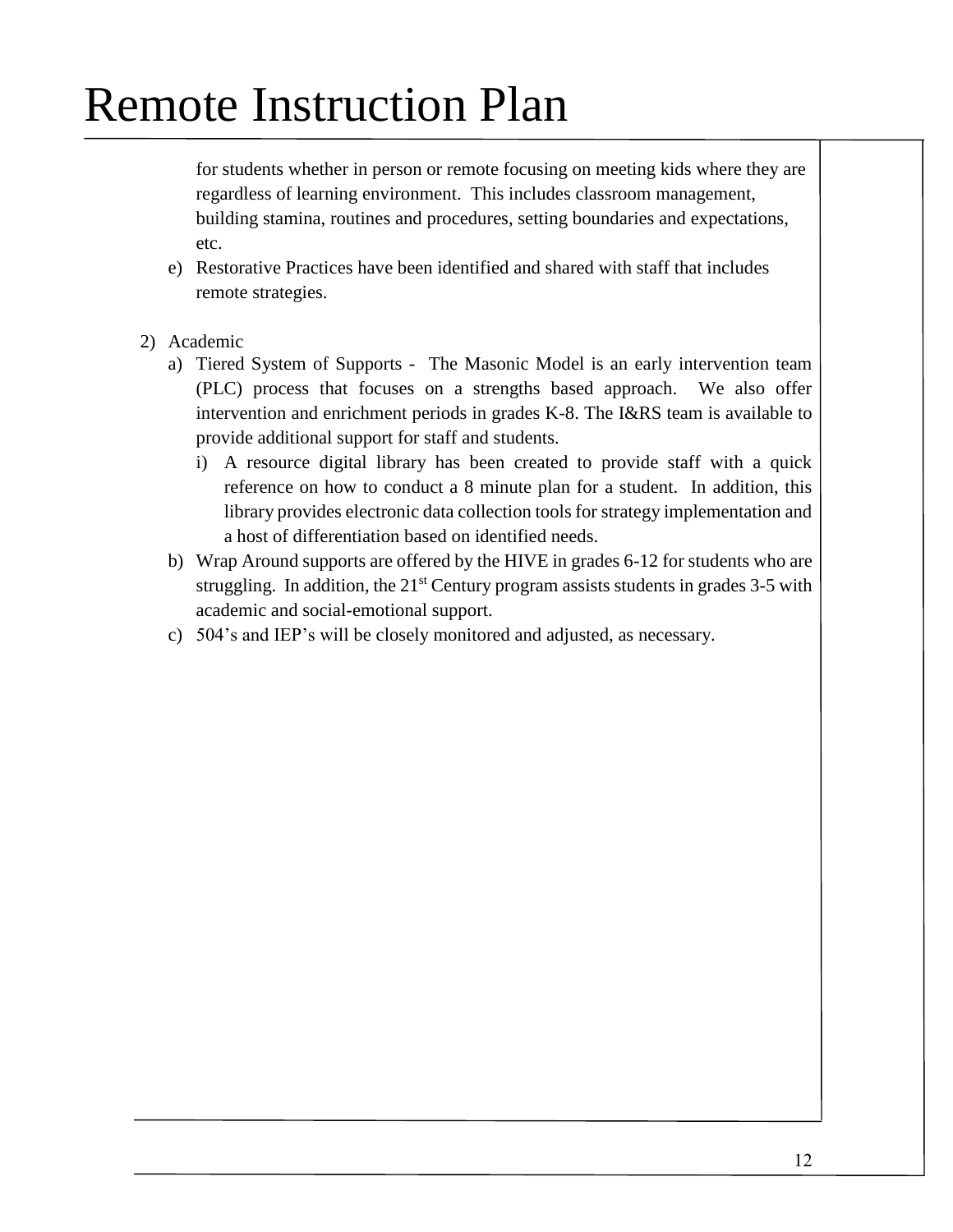for students whether in person or remote focusing on meeting kids where they are regardless of learning environment. This includes classroom management, building stamina, routines and procedures, setting boundaries and expectations, etc.

- e) Restorative Practices have been identified and shared with staff that includes remote strategies.
- 2) Academic
	- a) Tiered System of Supports The Masonic Model is an early intervention team (PLC) process that focuses on a strengths based approach. We also offer intervention and enrichment periods in grades K-8. The I&RS team is available to provide additional support for staff and students.
		- i) A resource digital library has been created to provide staff with a quick reference on how to conduct a 8 minute plan for a student. In addition, this library provides electronic data collection tools for strategy implementation and a host of differentiation based on identified needs.
	- b) Wrap Around supports are offered by the HIVE in grades 6-12 for students who are struggling. In addition, the  $21<sup>st</sup>$  Century program assists students in grades 3-5 with academic and social-emotional support.
	- c) 504's and IEP's will be closely monitored and adjusted, as necessary.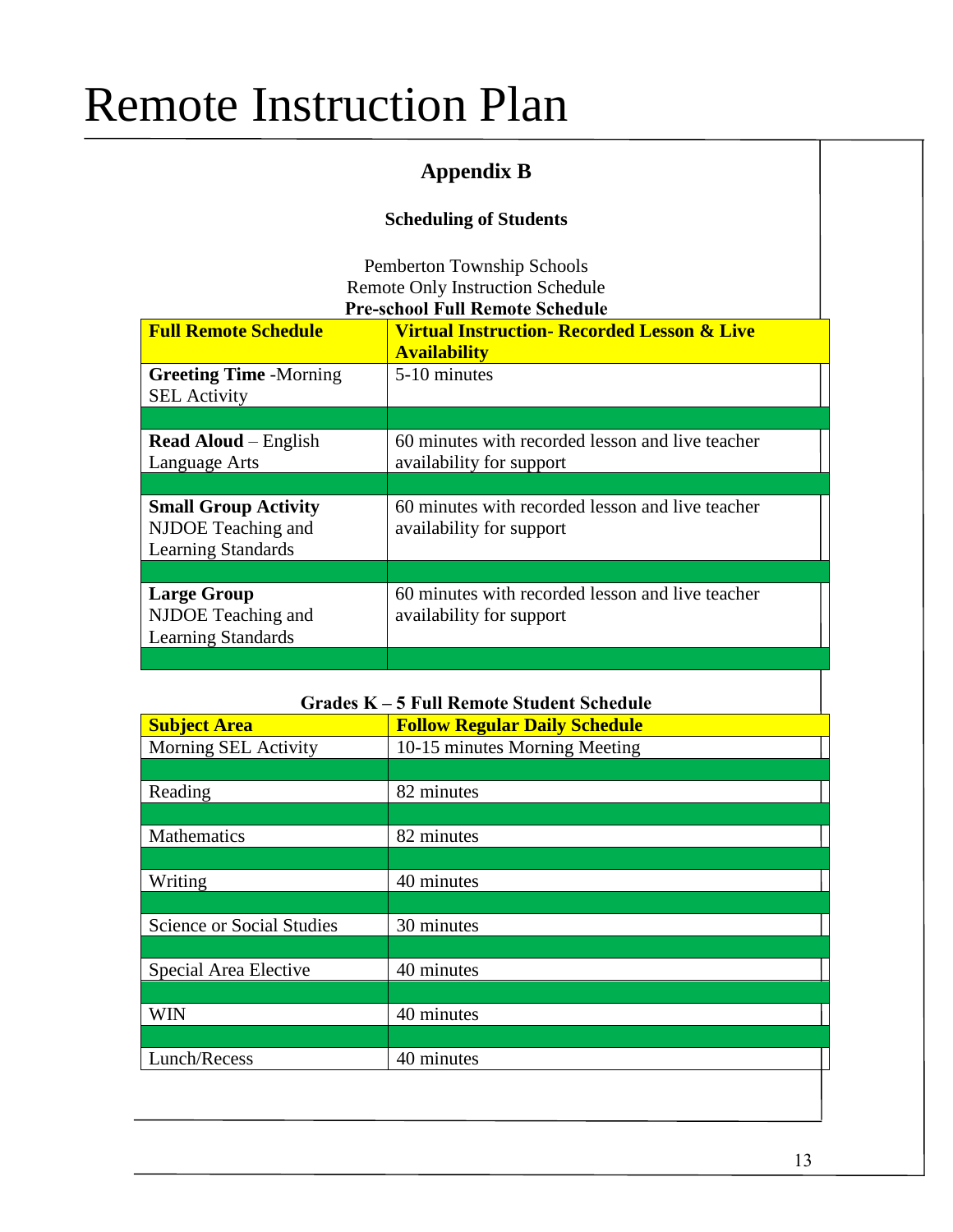### **Appendix B**

### **Scheduling of Students**

Pemberton Township Schools Remote Only Instruction Schedule **Pre-school Full Remote Schedule**

| <b>Full Remote Schedule</b>                                                    | <b>Virtual Instruction- Recorded Lesson &amp; Live</b><br><b>Availability</b> |
|--------------------------------------------------------------------------------|-------------------------------------------------------------------------------|
| <b>Greeting Time -Morning</b><br><b>SEL</b> Activity                           | 5-10 minutes                                                                  |
|                                                                                |                                                                               |
| <b>Read Aloud</b> – English<br>Language Arts                                   | 60 minutes with recorded lesson and live teacher<br>availability for support  |
|                                                                                |                                                                               |
| <b>Small Group Activity</b><br>NJDOE Teaching and<br><b>Learning Standards</b> | 60 minutes with recorded lesson and live teacher<br>availability for support  |
|                                                                                |                                                                               |
| <b>Large Group</b><br>NJDOE Teaching and<br><b>Learning Standards</b>          | 60 minutes with recorded lesson and live teacher<br>availability for support  |
|                                                                                |                                                                               |

| <b>Grades K - 5 Full Remote Student Schedule</b> |                                      |  |  |  |  |
|--------------------------------------------------|--------------------------------------|--|--|--|--|
| <b>Subject Area</b>                              | <b>Follow Regular Daily Schedule</b> |  |  |  |  |
| Morning SEL Activity                             | 10-15 minutes Morning Meeting        |  |  |  |  |
|                                                  |                                      |  |  |  |  |
| Reading                                          | 82 minutes                           |  |  |  |  |
|                                                  |                                      |  |  |  |  |
| Mathematics                                      | 82 minutes                           |  |  |  |  |
|                                                  |                                      |  |  |  |  |
| Writing                                          | 40 minutes                           |  |  |  |  |
|                                                  |                                      |  |  |  |  |
| <b>Science or Social Studies</b>                 | 30 minutes                           |  |  |  |  |
|                                                  |                                      |  |  |  |  |
| Special Area Elective                            | 40 minutes                           |  |  |  |  |
|                                                  |                                      |  |  |  |  |
| <b>WIN</b>                                       | 40 minutes                           |  |  |  |  |
|                                                  |                                      |  |  |  |  |
| Lunch/Recess                                     | 40 minutes                           |  |  |  |  |
|                                                  |                                      |  |  |  |  |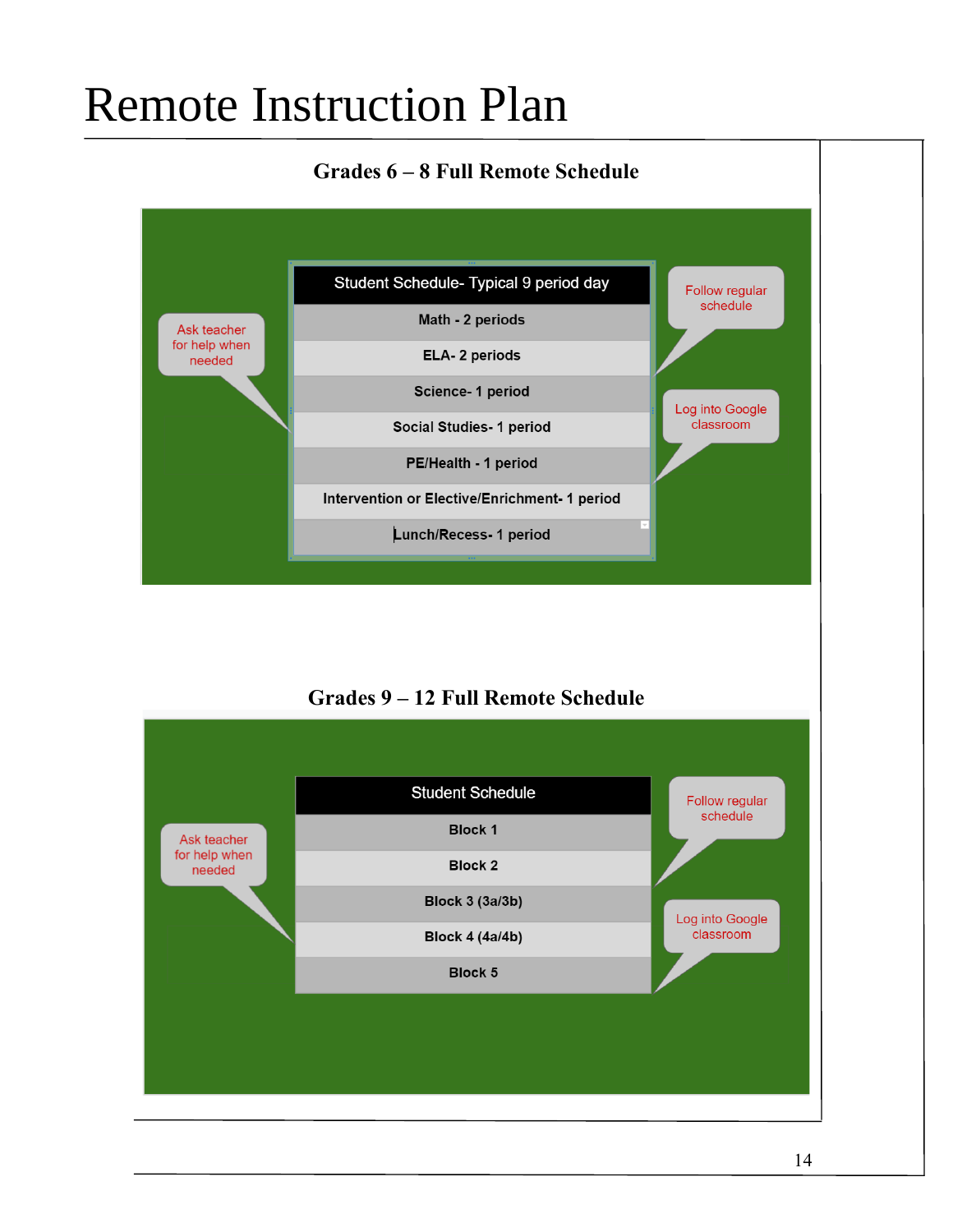### **Grades 6 – 8 Full Remote Schedule**



### **Grades 9 – 12 Full Remote Schedule**

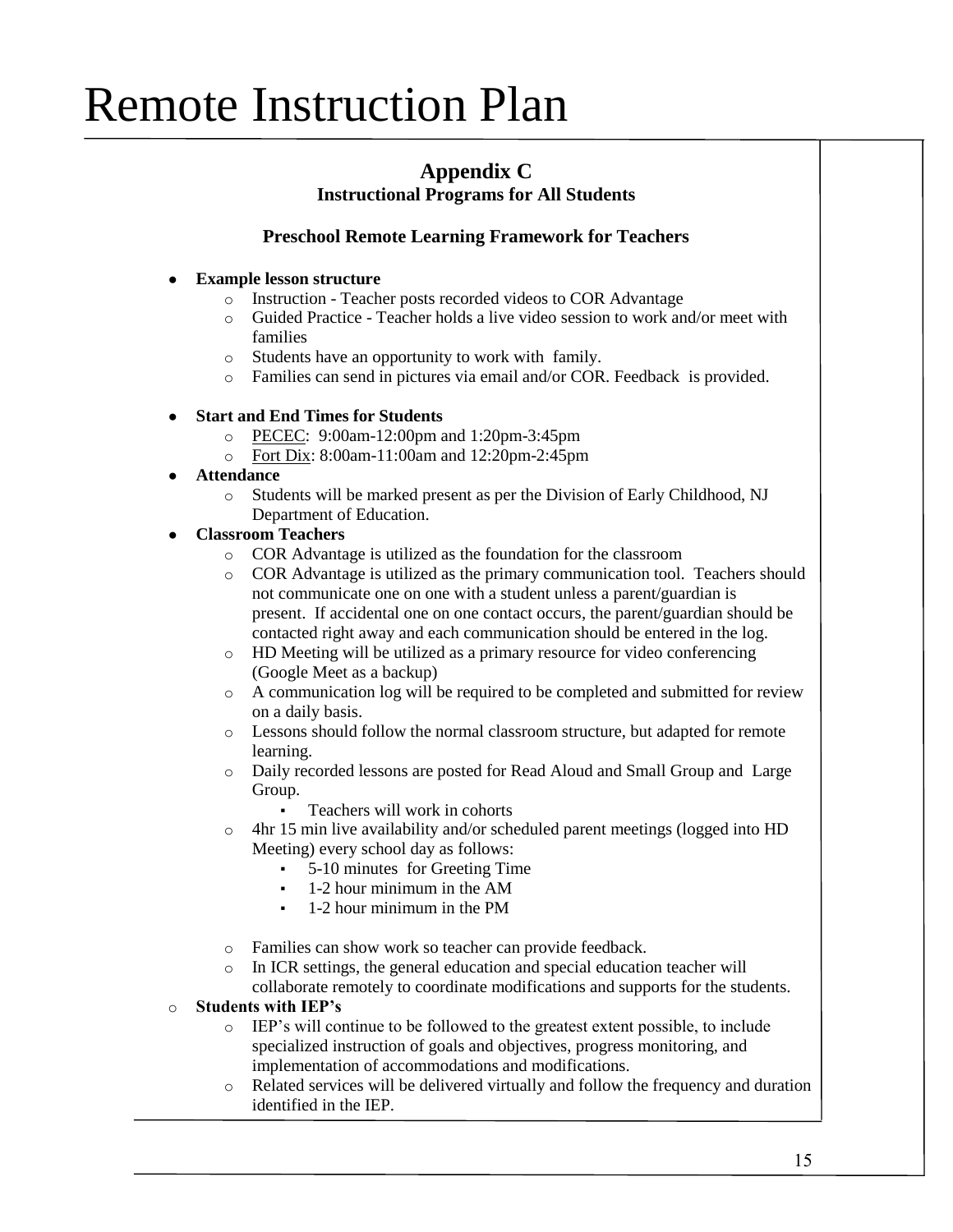### **Appendix C Instructional Programs for All Students**

### **Preschool Remote Learning Framework for Teachers**

#### **Example lesson structure**

- o Instruction Teacher posts recorded videos to COR Advantage
- o Guided Practice Teacher holds a live video session to work and/or meet with families
- o Students have an opportunity to work with family.
- o Families can send in pictures via email and/or COR. Feedback is provided.

#### ● **Start and End Times for Students**

- o PECEC: 9:00am-12:00pm and 1:20pm-3:45pm
- o Fort Dix: 8:00am-11:00am and 12:20pm-2:45pm
- **Attendance**
	- o Students will be marked present as per the Division of Early Childhood, NJ Department of Education.

#### ● **Classroom Teachers**

- o COR Advantage is utilized as the foundation for the classroom
- o COR Advantage is utilized as the primary communication tool. Teachers should not communicate one on one with a student unless a parent/guardian is present. If accidental one on one contact occurs, the parent/guardian should be contacted right away and each communication should be entered in the log.
- o HD Meeting will be utilized as a primary resource for video conferencing (Google Meet as a backup)
- o A communication log will be required to be completed and submitted for review on a daily basis.
- o Lessons should follow the normal classroom structure, but adapted for remote learning.
- o Daily recorded lessons are posted for Read Aloud and Small Group and Large Group.
	- Teachers will work in cohorts
- o 4hr 15 min live availability and/or scheduled parent meetings (logged into HD Meeting) every school day as follows:
	- 5-10 minutes for Greeting Time
	- $1-2$  hour minimum in the AM
	- 1-2 hour minimum in the PM
- o Families can show work so teacher can provide feedback.
- o In ICR settings, the general education and special education teacher will collaborate remotely to coordinate modifications and supports for the students.

#### o **Students with IEP's**

- o IEP's will continue to be followed to the greatest extent possible, to include specialized instruction of goals and objectives, progress monitoring, and implementation of accommodations and modifications.
- o Related services will be delivered virtually and follow the frequency and duration identified in the IEP.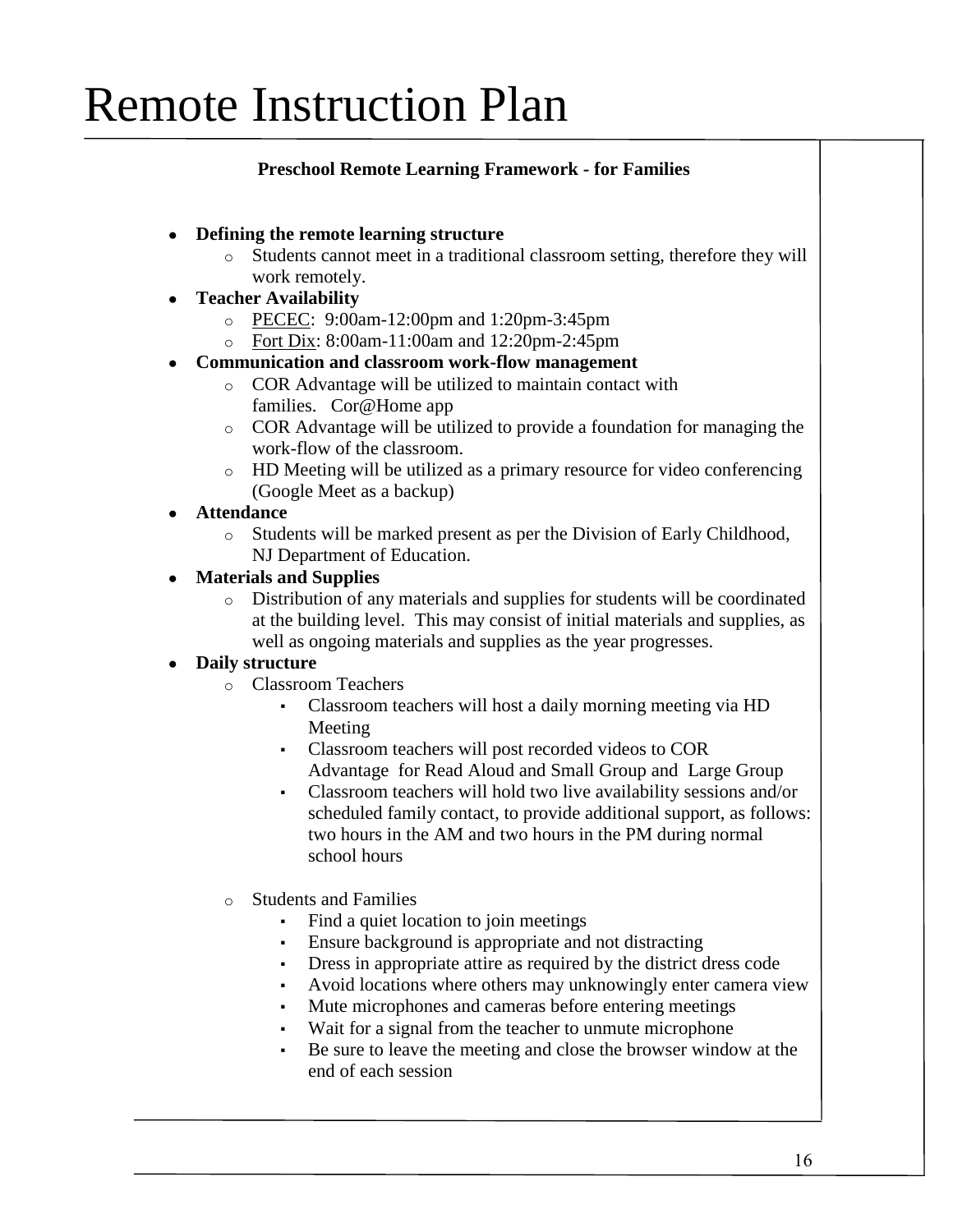### **Preschool Remote Learning Framework - for Families**

- **Defining the remote learning structure**
	- o Students cannot meet in a traditional classroom setting, therefore they will work remotely.
- **Teacher Availability**
	- o PECEC: 9:00am-12:00pm and 1:20pm-3:45pm
	- o Fort Dix: 8:00am-11:00am and 12:20pm-2:45pm
- **Communication and classroom work-flow management**
	- o COR Advantage will be utilized to maintain contact with families. Cor@Home app
	- o COR Advantage will be utilized to provide a foundation for managing the work-flow of the classroom.
	- o HD Meeting will be utilized as a primary resource for video conferencing (Google Meet as a backup)
- **Attendance**
	- o Students will be marked present as per the Division of Early Childhood, NJ Department of Education.

### ● **Materials and Supplies**

o Distribution of any materials and supplies for students will be coordinated at the building level. This may consist of initial materials and supplies, as well as ongoing materials and supplies as the year progresses.

### **Daily structure**

- o Classroom Teachers
	- Classroom teachers will host a daily morning meeting via HD Meeting
	- Classroom teachers will post recorded videos to COR Advantage for Read Aloud and Small Group and Large Group
	- Classroom teachers will hold two live availability sessions and/or scheduled family contact, to provide additional support, as follows: two hours in the AM and two hours in the PM during normal school hours
- o Students and Families
	- Find a quiet location to join meetings
	- Ensure background is appropriate and not distracting
	- Dress in appropriate attire as required by the district dress code
	- Avoid locations where others may unknowingly enter camera view
	- Mute microphones and cameras before entering meetings
	- Wait for a signal from the teacher to unmute microphone
	- Be sure to leave the meeting and close the browser window at the end of each session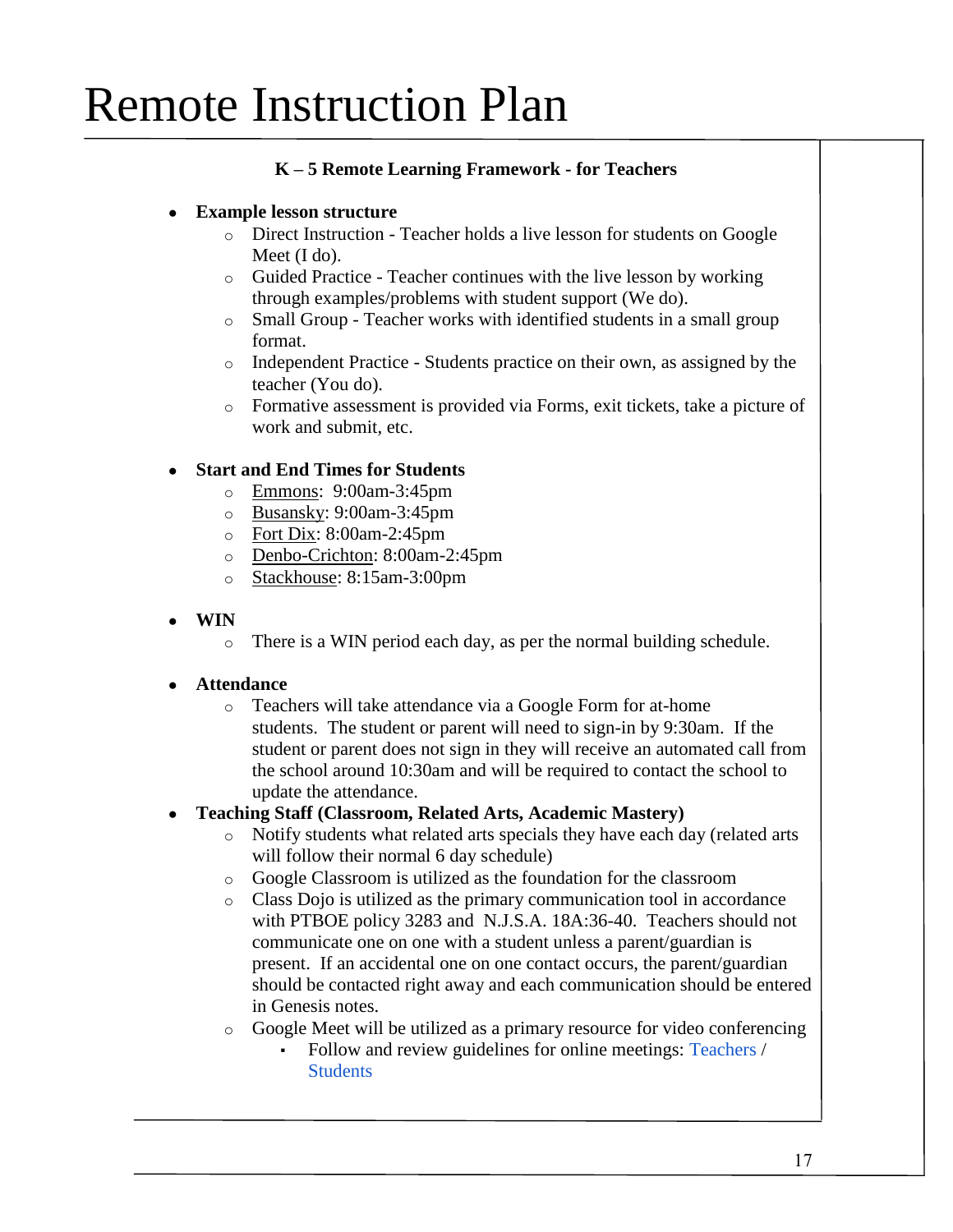### **K – 5 Remote Learning Framework - for Teachers**

### ● **Example lesson structure**

- o Direct Instruction Teacher holds a live lesson for students on Google Meet (I do).
- o Guided Practice Teacher continues with the live lesson by working through examples/problems with student support (We do).
- o Small Group Teacher works with identified students in a small group format.
- o Independent Practice Students practice on their own, as assigned by the teacher (You do).
- o Formative assessment is provided via Forms, exit tickets, take a picture of work and submit, etc.

### ● **Start and End Times for Students**

- o Emmons: 9:00am-3:45pm
- o Busansky: 9:00am-3:45pm
- o Fort Dix: 8:00am-2:45pm
- o Denbo-Crichton: 8:00am-2:45pm
- o Stackhouse: 8:15am-3:00pm
- **WIN**
	- o There is a WIN period each day, as per the normal building schedule.

#### ● **Attendance**

o Teachers will take attendance via a Google Form for at-home students. The student or parent will need to sign-in by 9:30am. If the student or parent does not sign in they will receive an automated call from the school around 10:30am and will be required to contact the school to update the attendance.

### ● **Teaching Staff (Classroom, Related Arts, Academic Mastery)**

- o Notify students what related arts specials they have each day (related arts will follow their normal 6 day schedule)
- o Google Classroom is utilized as the foundation for the classroom
- o Class Dojo is utilized as the primary communication tool in accordance with PTBOE policy 3283 and N.J.S.A. 18A:36-40. Teachers should not communicate one on one with a student unless a parent/guardian is present. If an accidental one on one contact occurs, the parent/guardian should be contacted right away and each communication should be entered in Genesis notes.
- o Google Meet will be utilized as a primary resource for video conferencing
	- Follow and review guidelines for online meetings: [Teachers](https://docs.google.com/document/d/1eG3g3RMX74DWVKDIm19o-mPfrZHVj9yyv-QbHLXLXwc/edit?usp=sharing) / **[Students](https://docs.google.com/document/d/1OYOOA8hWoU7CLxsHsc4_y6hl5EBHoctztmQhHd-QnQM/edit?usp=sharing)**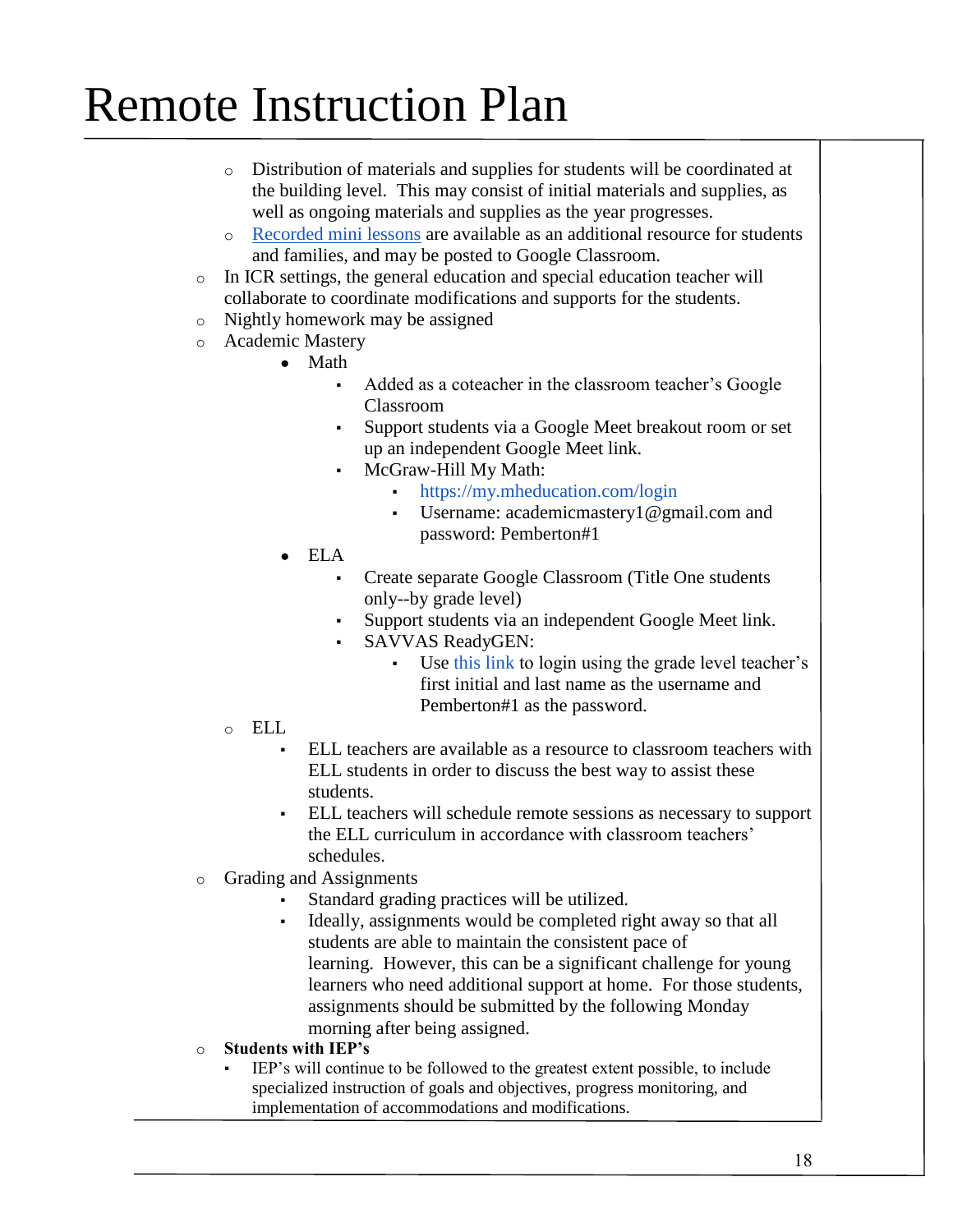- o Distribution of materials and supplies for students will be coordinated at the building level. This may consist of initial materials and supplies, as well as ongoing materials and supplies as the year progresses.
- o [Recorded mini lessons](https://docs.google.com/spreadsheets/d/1cTA5w0wShbiaSg-2LH3iccVt9wkDTE3F0uYPDGKZ0RA/edit?usp=sharing) are available as an additional resource for students and families, and may be posted to Google Classroom.
- o In ICR settings, the general education and special education teacher will collaborate to coordinate modifications and supports for the students.
- o Nightly homework may be assigned
- o Academic Mastery
	- Math
		- Added as a coteacher in the classroom teacher's Google Classroom
		- Support students via a Google Meet breakout room or set up an independent Google Meet link.
		- McGraw-Hill My Math:
			- <https://my.mheducation.com/login>
			- Username: academicmastery1@gmail.com and password: Pemberton#1
	- ELA
		- Create separate Google Classroom (Title One students only--by grade level)
		- Support students via an independent Google Meet link.
		- SAVVAS ReadyGEN:
			- Use [this link](https://sso.rumba.pk12ls.com/sso/login?service=https://cat.easybridge.pk12ls.com/ca/dashboard.htm&EBTenant=PTSD-NJ&profile=eb) to login using the grade level teacher's first initial and last name as the username and Pemberton#1 as the password.
	- o ELL
		- ELL teachers are available as a resource to classroom teachers with ELL students in order to discuss the best way to assist these students.
		- ELL teachers will schedule remote sessions as necessary to support the ELL curriculum in accordance with classroom teachers' schedules.
- o Grading and Assignments
	- Standard grading practices will be utilized.
	- Ideally, assignments would be completed right away so that all students are able to maintain the consistent pace of learning. However, this can be a significant challenge for young learners who need additional support at home. For those students, assignments should be submitted by the following Monday morning after being assigned.
- o **Students with IEP's**
	- IEP's will continue to be followed to the greatest extent possible, to include specialized instruction of goals and objectives, progress monitoring, and implementation of accommodations and modifications.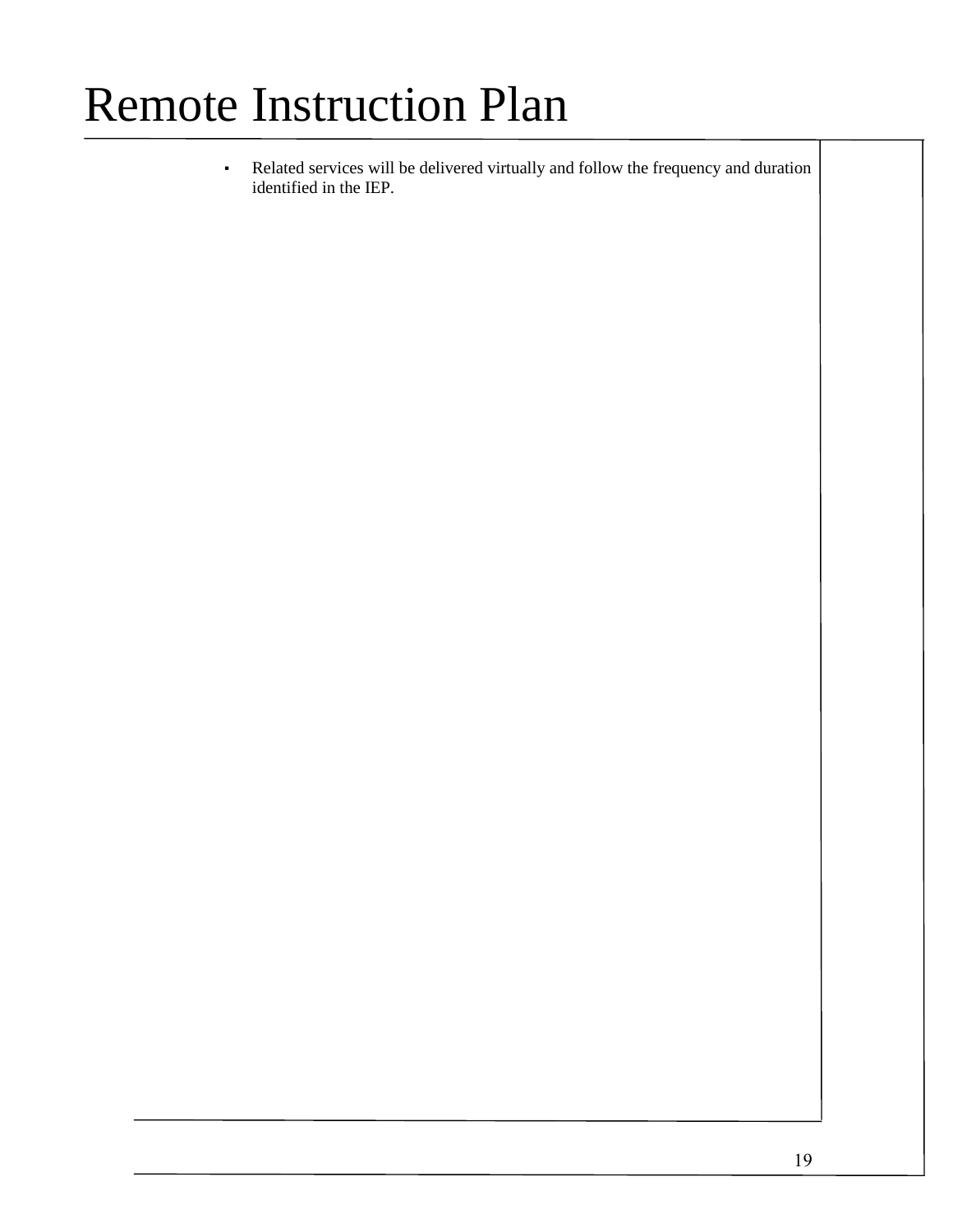▪ Related services will be delivered virtually and follow the frequency and duration identified in the IEP.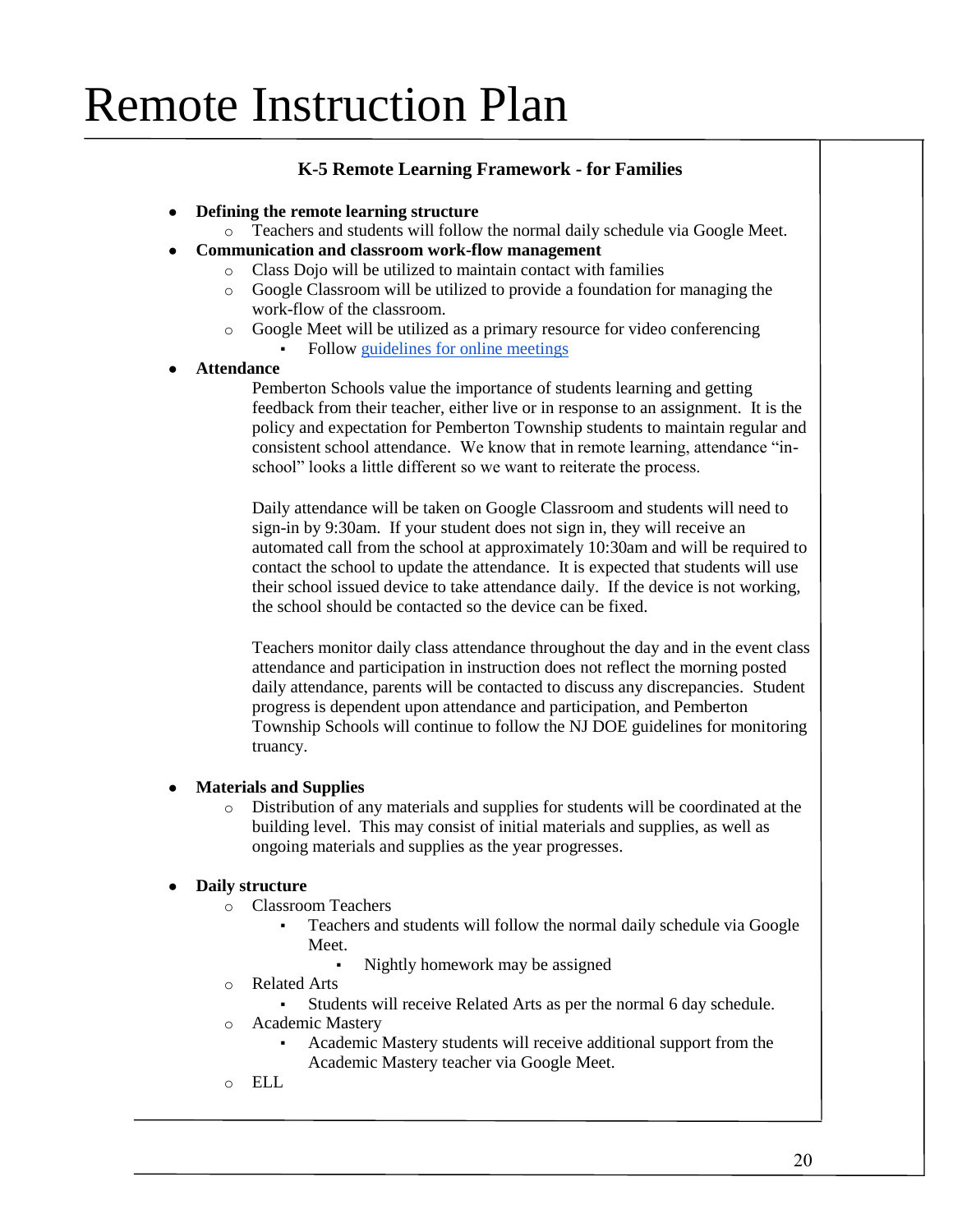### **K-5 Remote Learning Framework - for Families**

#### ● **Defining the remote learning structure**

- o Teachers and students will follow the normal daily schedule via Google Meet.
- **Communication and classroom work-flow management**
	- o Class Dojo will be utilized to maintain contact with families
	- o Google Classroom will be utilized to provide a foundation for managing the work-flow of the classroom.
	- o Google Meet will be utilized as a primary resource for video conferencing
		- Follow [guidelines for online meetings](https://docs.google.com/document/d/1OYOOA8hWoU7CLxsHsc4_y6hl5EBHoctztmQhHd-QnQM/edit?usp=sharing)

#### ● **Attendance**

Pemberton Schools value the importance of students learning and getting feedback from their teacher, either live or in response to an assignment. It is the policy and expectation for Pemberton Township students to maintain regular and consistent school attendance. We know that in remote learning, attendance "inschool" looks a little different so we want to reiterate the process.

Daily attendance will be taken on Google Classroom and students will need to sign-in by 9:30am. If your student does not sign in, they will receive an automated call from the school at approximately 10:30am and will be required to contact the school to update the attendance. It is expected that students will use their school issued device to take attendance daily. If the device is not working, the school should be contacted so the device can be fixed.

Teachers monitor daily class attendance throughout the day and in the event class attendance and participation in instruction does not reflect the morning posted daily attendance, parents will be contacted to discuss any discrepancies. Student progress is dependent upon attendance and participation, and Pemberton Township Schools will continue to follow the NJ DOE guidelines for monitoring truancy.

#### ● **Materials and Supplies**

o Distribution of any materials and supplies for students will be coordinated at the building level. This may consist of initial materials and supplies, as well as ongoing materials and supplies as the year progresses.

#### ● **Daily structure**

- o Classroom Teachers
	- Teachers and students will follow the normal daily schedule via Google Meet.
		- Nightly homework may be assigned
- o Related Arts
	- Students will receive Related Arts as per the normal 6 day schedule.
- o Academic Mastery
	- Academic Mastery students will receive additional support from the Academic Mastery teacher via Google Meet.
- o ELL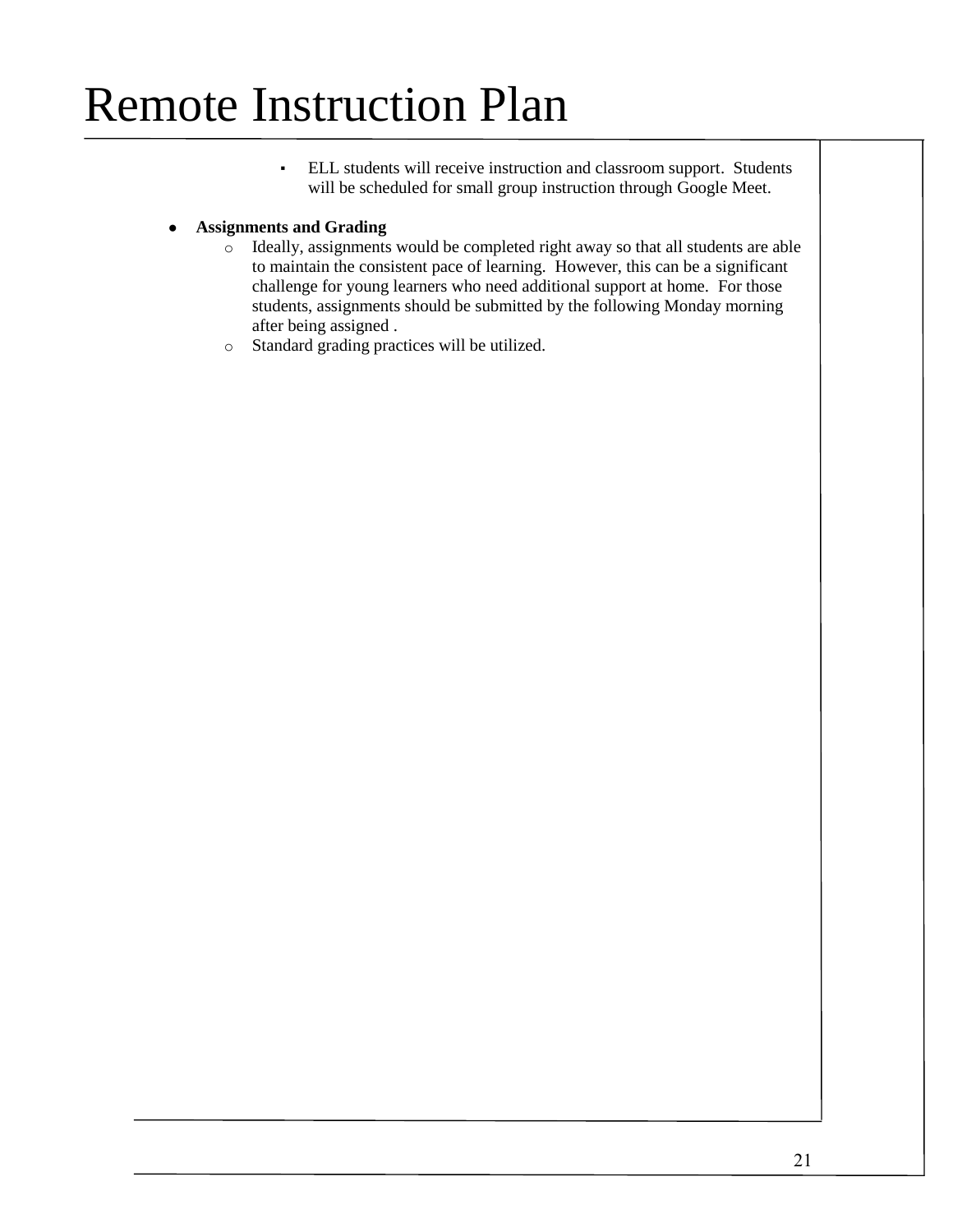▪ ELL students will receive instruction and classroom support. Students will be scheduled for small group instruction through Google Meet.

#### ● **Assignments and Grading**

- o Ideally, assignments would be completed right away so that all students are able to maintain the consistent pace of learning. However, this can be a significant challenge for young learners who need additional support at home. For those students, assignments should be submitted by the following Monday morning after being assigned .
- o Standard grading practices will be utilized.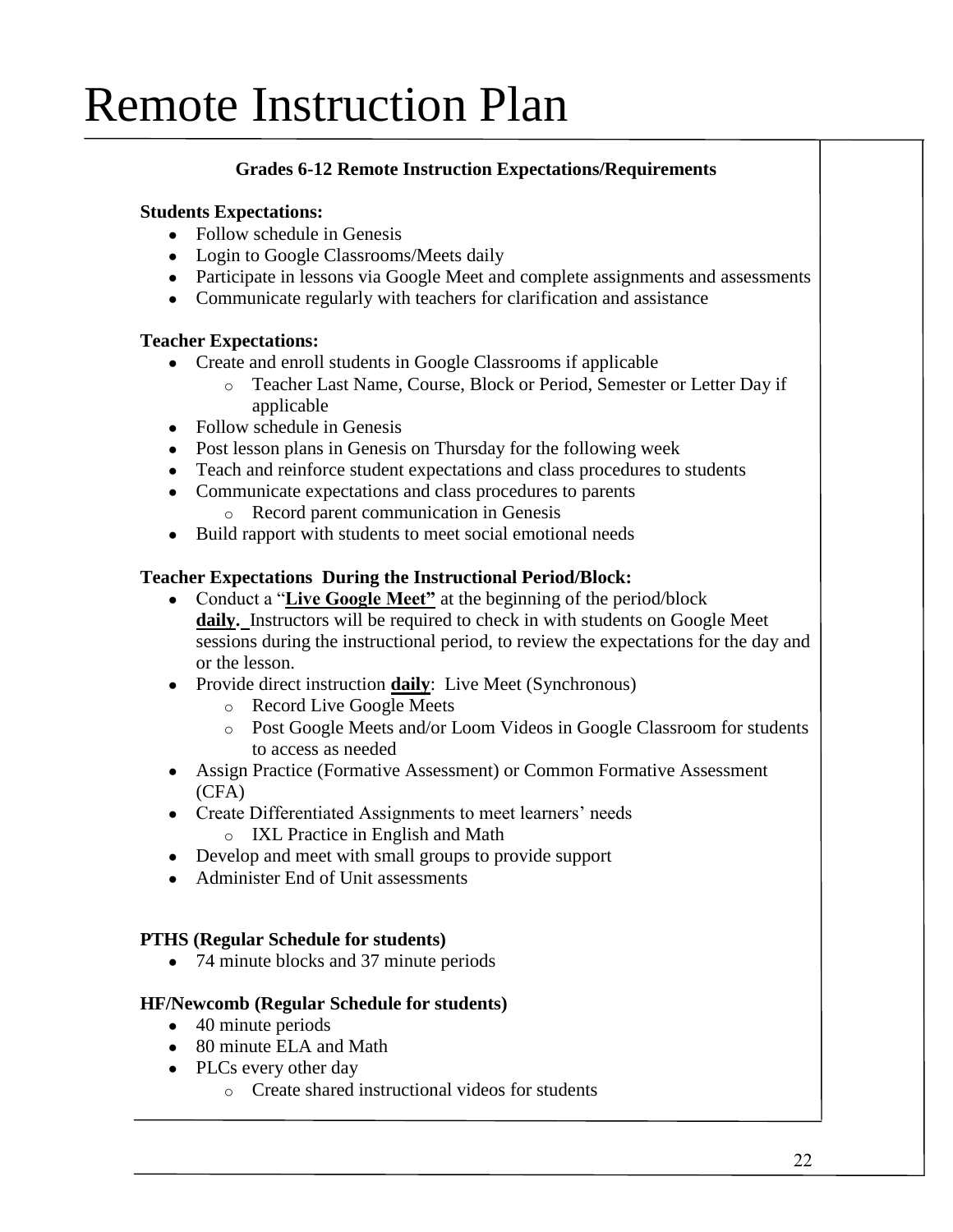### **Grades 6-12 Remote Instruction Expectations/Requirements**

### **Students Expectations:**

- $\bullet$  Follow schedule in Genesis
- Login to Google Classrooms/Meets daily
- Participate in lessons via Google Meet and complete assignments and assessments
- Communicate regularly with teachers for clarification and assistance

#### **Teacher Expectations:**

- Create and enroll students in Google Classrooms if applicable
	- o Teacher Last Name, Course, Block or Period, Semester or Letter Day if applicable
- $\bullet$  Follow schedule in Genesis
- Post lesson plans in Genesis on Thursday for the following week
- Teach and reinforce student expectations and class procedures to students
- Communicate expectations and class procedures to parents
	- o Record parent communication in Genesis
- Build rapport with students to meet social emotional needs

### **Teacher Expectations During the Instructional Period/Block:**

- Conduct a "**Live Google Meet"** at the beginning of the period/block **daily.** Instructors will be required to check in with students on Google Meet sessions during the instructional period, to review the expectations for the day and or the lesson.
- Provide direct instruction **daily**: Live Meet (Synchronous)
	- o Record Live Google Meets
	- o Post Google Meets and/or Loom Videos in Google Classroom for students to access as needed
- Assign Practice (Formative Assessment) or Common Formative Assessment (CFA)
- Create Differentiated Assignments to meet learners' needs
	- o IXL Practice in English and Math
- Develop and meet with small groups to provide support
- Administer End of Unit assessments

#### **PTHS (Regular Schedule for students)**

● 74 minute blocks and 37 minute periods

#### **HF/Newcomb (Regular Schedule for students)**

- 40 minute periods
- 80 minute ELA and Math
- PLCs every other day
	- o Create shared instructional videos for students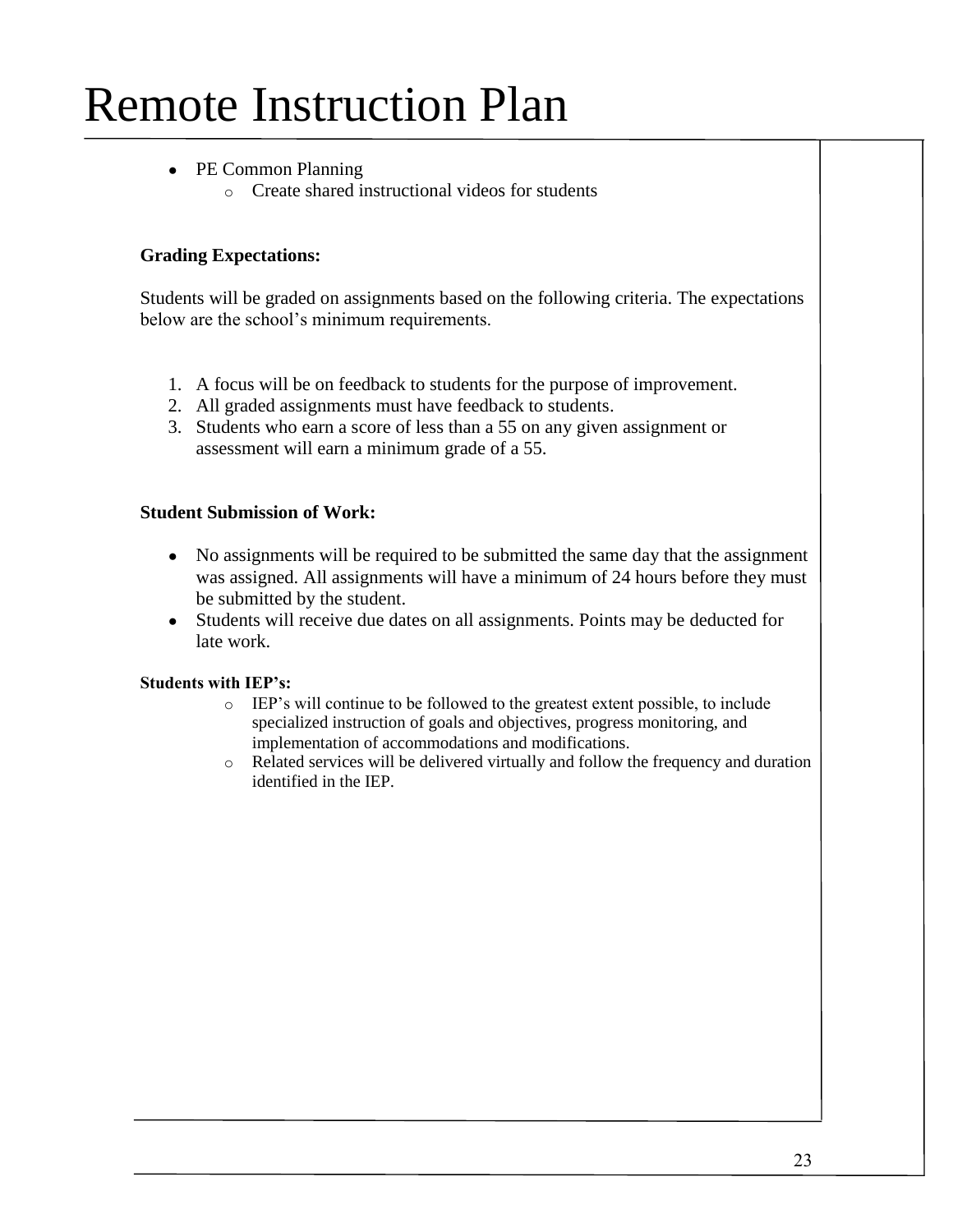- PE Common Planning
	- o Create shared instructional videos for students

#### **Grading Expectations:**

Students will be graded on assignments based on the following criteria. The expectations below are the school's minimum requirements.

- 1. A focus will be on feedback to students for the purpose of improvement.
- 2. All graded assignments must have feedback to students.
- 3. Students who earn a score of less than a 55 on any given assignment or assessment will earn a minimum grade of a 55.

#### **Student Submission of Work:**

- No assignments will be required to be submitted the same day that the assignment was assigned. All assignments will have a minimum of 24 hours before they must be submitted by the student.
- Students will receive due dates on all assignments. Points may be deducted for late work.

#### **Students with IEP's:**

- o IEP's will continue to be followed to the greatest extent possible, to include specialized instruction of goals and objectives, progress monitoring, and implementation of accommodations and modifications.
- o Related services will be delivered virtually and follow the frequency and duration identified in the IEP.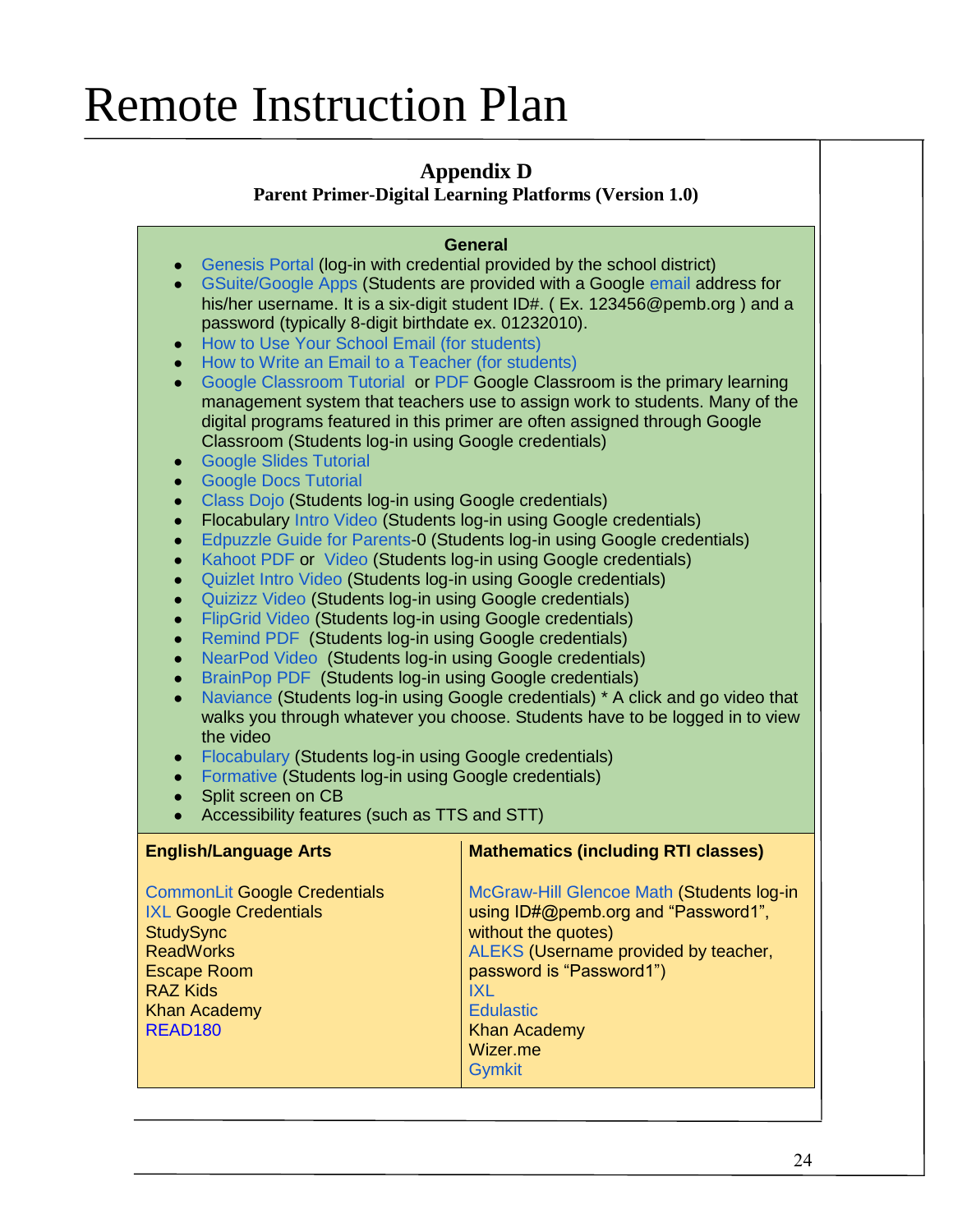### **Appendix D**

**Parent Primer-Digital Learning Platforms (Version 1.0)**

### **General**

- [Genesis Portal](https://flboe.com/UserFiles/Servers/Server_181580/File/Parents/Parent%20Resources/How%20to%20Access%20the%20Genesis%20Parent%20Portal.pdf) (log-in with credential provided by the school district)
- [GSuite/Google Apps \(](https://edu.google.com/products/gsuite-for-education/?modal_active=none)Students are provided with a Google [email](https://docs.google.com/document/d/1FhwLB9syMSAmNyUSprqr6pLvlaZlMrcrxgd4ggrJqc8/edit) address for his/her username. It is a six-digit student ID#. (Ex. 123456@pemb.org) and a password (typically 8-digit birthdate ex. 01232010).
- [How to Use Your School Email \(for students\)](https://docs.google.com/document/d/1FhwLB9syMSAmNyUSprqr6pLvlaZlMrcrxgd4ggrJqc8/edit)
- [How to Write an Email to a Teacher \(for students\)](https://docs.google.com/presentation/d/11grNz7eAvqqCAcArE_NKWbV5lIvhxOI6Ankl9Vl6-C4/edit#slide=id.p)
- [Google Classroom Tutorial](https://www.loom.com/share/36c5be5ae6c84d188c729e57d65d3b01) or [PDF](https://www.nps.k12.nj.us/BEH/wp-content/uploads/sites/30/2020/03/2020-Parents-Guide-to-Google-Classroom.pdf) Google Classroom is the primary learning management system that teachers use to assign work to students. Many of the digital programs featured in this primer are often assigned through Google Classroom (Students log-in using Google credentials)
- **[Google Slides Tutorial](https://www.loom.com/share/7857f016efee4abfb08ade00bfb7baa3)**
- **[Google Docs Tutorial](https://www.loom.com/share/fe8effc52e1140b1b9a37e96abbe68f3)**
- [Class Dojo](https://classdojo.zendesk.com/hc/en-us/categories/200185365-For-parents) (Students log-in using Google credentials)
- Flocabulary [Intro Video](https://www.commonsense.org/education/videos/flocabulary-in-30-seconds) (Students log-in using Google credentials)
- [Edpuzzle Guide for Parents-](https://support.edpuzzle.com/hc/en-us/categories/360001511852-For-Parents)0 (Students log-in using Google credentials)
- [Kahoot PDF](https://kahoot.com/files/2020/04/GettingStartedKahootGuide_2020-04.pdf) or [Video](https://www.youtube.com/watch?v=7XzfWHdDS9Q&feature=emb_title) (Students log-in using Google credentials)
- [Quizlet Intro Video](https://www.youtube.com/channel/UCVNli1WMMljwc83Lqn-L9yg) (Students log-in using Google credentials)
- [Quizizz Video](https://youtu.be/XOcAtQamKBM?t=132) (Students log-in using Google credentials)
- [FlipGrid Video](https://help.flipgrid.com/hc/en-us/articles/360045046694-How-to-join-a-Grid) (Students log-in using Google credentials)
- [Remind PDF](https://assets.remind.com/marketing/pdfs/remind-overview-parents.pdf) (Students log-in using Google credentials)
- [NearPod](https://www.youtube.com/watch?v=g3GVkM_GVa4) [Video](https://www.youtube.com/watch?v=g3GVkM_GVa4) (Students log-in using Google credentials)
- [BrainPop PDF](https://cdn-educators.brainpop.com/wp-content/uploads/2017/11/BrainPOP-Getting-Started-Guide-November-2017.pdf) (Students log-in using Google credentials)
- [Naviance](https://www.screencast.com/t/tbcYt9eUkKg) (Students log-in using Google credentials) \* A click and go video that walks you through whatever you choose. Students have to be logged in to view the video
- [Flocabulary](https://flocabulary.zendesk.com/hc/en-us/articles/205362345-Getting-Started-Student-Guide) (Students log-in using Google credentials)
- [Formative](https://www.youtube.com/watch?time_continue=13&v=Z9ABy6oducg&feature=emb_logo) (Students log-in using Google credentials)
- Split screen on CB
- Accessibility features (such as TTS and STT)

| <b>English/Language Arts</b>                                                                                                                                                                   | <b>Mathematics (including RTI classes)</b>                                                                                                                                                                                                                  |
|------------------------------------------------------------------------------------------------------------------------------------------------------------------------------------------------|-------------------------------------------------------------------------------------------------------------------------------------------------------------------------------------------------------------------------------------------------------------|
| <b>CommonLit Google Credentials</b><br><b>IXL Google Credentials</b><br><b>StudySync</b><br><b>ReadWorks</b><br><b>Escape Room</b><br><b>RAZ Kids</b><br><b>Khan Academy</b><br><b>READ180</b> | McGraw-Hill Glencoe Math (Students log-in<br>using ID#@pemb.org and "Password1",<br>without the quotes)<br>ALEKS (Username provided by teacher,<br>password is "Password1")<br>IXL.<br><b>Edulastic</b><br><b>Khan Academy</b><br>Wizer.me<br><b>Gymkit</b> |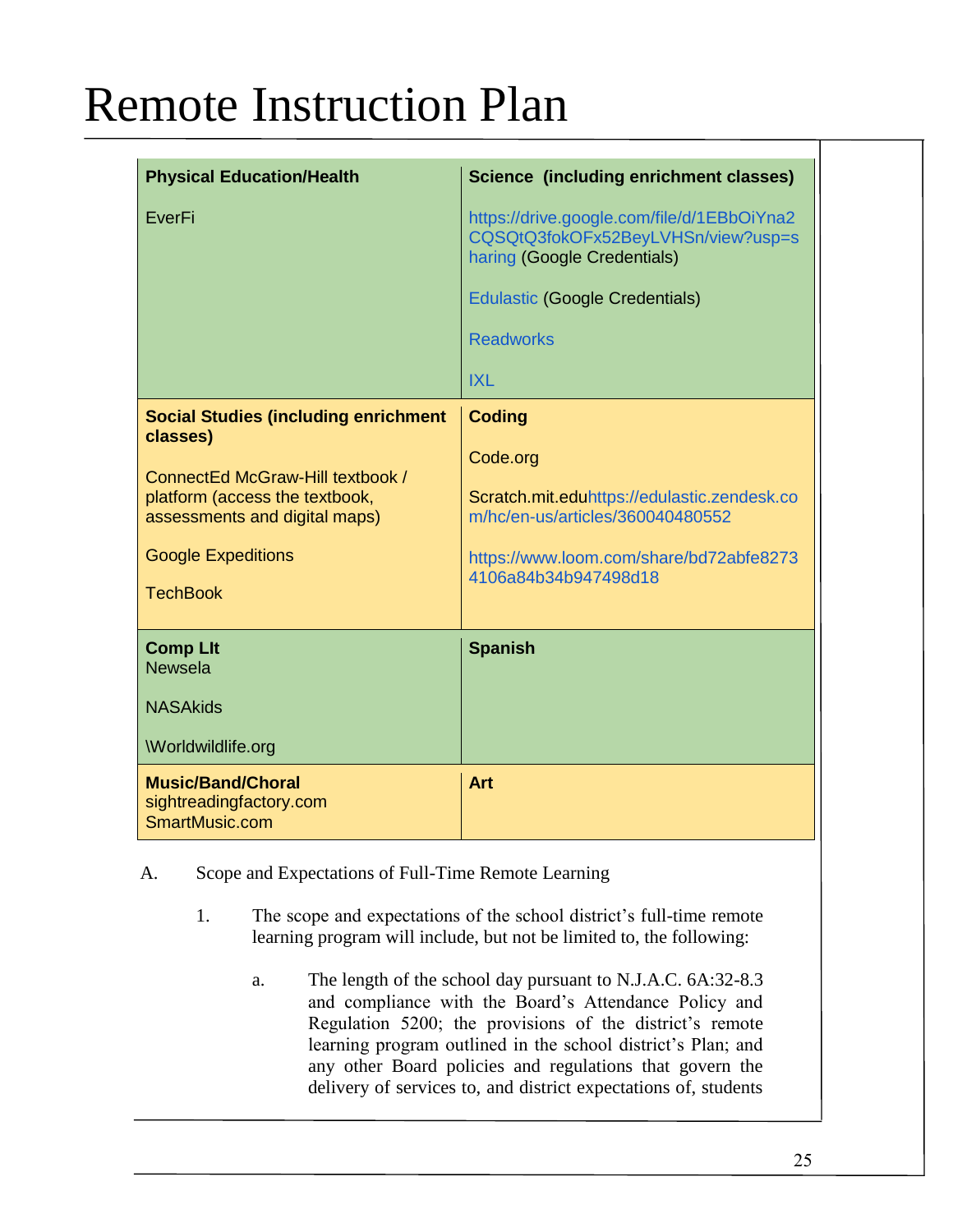| <b>Physical Education/Health</b>                                                                    | Science (including enrichment classes)                                                                          |
|-----------------------------------------------------------------------------------------------------|-----------------------------------------------------------------------------------------------------------------|
| EverFi                                                                                              | https://drive.google.com/file/d/1EBbOiYna2<br>CQSQtQ3fokOFx52BeyLVHSn/view?usp=s<br>haring (Google Credentials) |
|                                                                                                     | <b>Edulastic (Google Credentials)</b>                                                                           |
|                                                                                                     | <b>Readworks</b>                                                                                                |
|                                                                                                     | <b>IXL</b>                                                                                                      |
| <b>Social Studies (including enrichment</b><br>classes)                                             | <b>Coding</b>                                                                                                   |
| ConnectEd McGraw-Hill textbook /<br>platform (access the textbook,<br>assessments and digital maps) | Code.org                                                                                                        |
|                                                                                                     | Scratch.mit.eduhttps://edulastic.zendesk.co<br>m/hc/en-us/articles/360040480552                                 |
| <b>Google Expeditions</b>                                                                           | https://www.loom.com/share/bd72abfe8273                                                                         |
| <b>TechBook</b>                                                                                     | 4106a84b34b947498d18                                                                                            |
| <b>Comp Llt</b><br><b>Newsela</b>                                                                   | <b>Spanish</b>                                                                                                  |
| <b>NASAkids</b>                                                                                     |                                                                                                                 |
| Worldwildlife.org                                                                                   |                                                                                                                 |
| <b>Music/Band/Choral</b><br>sightreadingfactory.com<br>SmartMusic.com                               | <b>Art</b>                                                                                                      |

- A. Scope and Expectations of Full-Time Remote Learning
	- 1. The scope and expectations of the school district's full-time remote learning program will include, but not be limited to, the following:
		- a. The length of the school day pursuant to N.J.A.C. 6A:32-8.3 and compliance with the Board's Attendance Policy and Regulation 5200; the provisions of the district's remote learning program outlined in the school district's Plan; and any other Board policies and regulations that govern the delivery of services to, and district expectations of, students